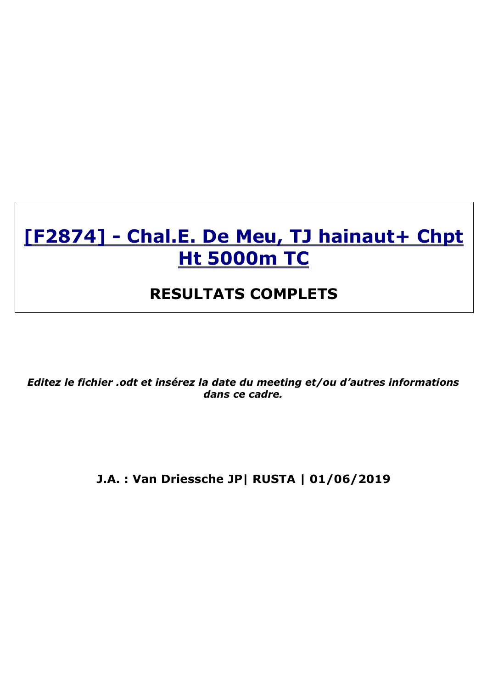# [F2874] - Chal.E. De Meu, TJ hainaut+ Chpt **Ht 5000m TC**

# **RESULTATS COMPLETS**

*Editez le fichier .odt et insérez la date du meeting et/ou d'autres informations dans ce cadre.*

**J.A. : Van Driessche JP| RUSTA | 01/06/2019**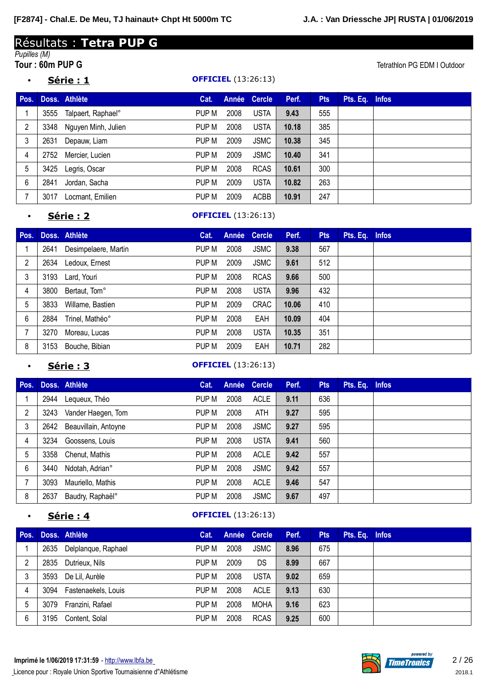# Résultats : **Tetra PUP G**

# *Pupilles (M)*

• **Série : 1 OFFICIEL** (13:26:13)

**Tetrathlon PG EDM I Outdoor** 

| Pos. |      | Doss. Athlète       | Cat.  |      | Année Cercle | Perf. | <b>Pts</b> | Pts. Eq. Infos |  |
|------|------|---------------------|-------|------|--------------|-------|------------|----------------|--|
|      | 3555 | Talpaert, Raphael°  | PUP M | 2008 | <b>USTA</b>  | 9.43  | 555        |                |  |
| 2    | 3348 | Nguyen Minh, Julien | PUP M | 2008 | <b>USTA</b>  | 10.18 | 385        |                |  |
| 3    | 2631 | Depauw, Liam        | PUP M | 2009 | <b>JSMC</b>  | 10.38 | 345        |                |  |
| 4    | 2752 | Mercier, Lucien     | PUP M | 2009 | <b>JSMC</b>  | 10.40 | 341        |                |  |
| 5    | 3425 | Legris, Oscar       | PUP M | 2008 | <b>RCAS</b>  | 10.61 | 300        |                |  |
| 6    | 2841 | Jordan, Sacha       | PUP M | 2009 | <b>USTA</b>  | 10.82 | 263        |                |  |
|      | 3017 | Locmant, Emilien    | PUP M | 2009 | ACBB         | 10.91 | 247        |                |  |

#### • **Série : 2 OFFICIEL** (13:26:13)

| Pos. |      | Doss. Athlète        | Cat.  |      | Année Cercle | Perf. | <b>Pts</b> | Pts. Eq. Infos |  |
|------|------|----------------------|-------|------|--------------|-------|------------|----------------|--|
|      | 2641 | Desimpelaere, Martin | PUP M | 2008 | <b>JSMC</b>  | 9.38  | 567        |                |  |
| 2    | 2634 | Ledoux, Ernest       | PUP M | 2009 | <b>JSMC</b>  | 9.61  | 512        |                |  |
| 3    |      | 3193 Lard, Youri     | PUP M | 2008 | <b>RCAS</b>  | 9.66  | 500        |                |  |
| 4    | 3800 | Bertaut, Tom°        | PUP M | 2008 | <b>USTA</b>  | 9.96  | 432        |                |  |
| 5    | 3833 | Willame, Bastien     | PUP M | 2009 | <b>CRAC</b>  | 10.06 | 410        |                |  |
| 6    | 2884 | Trinel, Mathéo°      | PUP M | 2008 | EAH          | 10.09 | 404        |                |  |
|      | 3270 | Moreau, Lucas        | PUP M | 2008 | <b>USTA</b>  | 10.35 | 351        |                |  |
| 8    | 3153 | Bouche, Bibian       | PUP M | 2009 | EAH          | 10.71 | 282        |                |  |

#### **Série : 3 OFFICIEL** (13:26:13)

| Pos.           |      | Doss. Athlète        | Cat.  |      | Année Cercle | Perf. | <b>Pts</b> | Pts. Eq. Infos |  |
|----------------|------|----------------------|-------|------|--------------|-------|------------|----------------|--|
|                | 2944 | Lequeux, Théo        | PUP M | 2008 | <b>ACLE</b>  | 9.11  | 636        |                |  |
| $\overline{2}$ | 3243 | Vander Haegen, Tom   | PUP M | 2008 | <b>ATH</b>   | 9.27  | 595        |                |  |
| 3              | 2642 | Beauvillain, Antoyne | PUP M | 2008 | <b>JSMC</b>  | 9.27  | 595        |                |  |
| 4              | 3234 | Goossens, Louis      | PUP M | 2008 | <b>USTA</b>  | 9.41  | 560        |                |  |
| 5              | 3358 | Chenut, Mathis       | PUP M | 2008 | <b>ACLE</b>  | 9.42  | 557        |                |  |
| 6              | 3440 | Ndotah, Adrian°      | PUP M | 2008 | <b>JSMC</b>  | 9.42  | 557        |                |  |
|                | 3093 | Mauriello, Mathis    | PUP M | 2008 | <b>ACLE</b>  | 9.46  | 547        |                |  |
| 8              | 2637 | Baudry, Raphaël°     | PUP M | 2008 | <b>JSMC</b>  | 9.67  | 497        |                |  |

### **Série : 4 OFFICIEL** (13:26:13)

| Pos. |      | Doss. Athlète       | Cat.  |      | Année Cercle | Perf. | <b>Pts</b> | Pts. Eq. Infos |  |
|------|------|---------------------|-------|------|--------------|-------|------------|----------------|--|
|      | 2635 | Delplanque, Raphael | PUP M | 2008 | <b>JSMC</b>  | 8.96  | 675        |                |  |
| 2    | 2835 | Dutrieux, Nils      | PUP M | 2009 | DS.          | 8.99  | 667        |                |  |
| 3    | 3593 | De Lil, Aurèle      | PUP M | 2008 | <b>USTA</b>  | 9.02  | 659        |                |  |
| 4    | 3094 | Fastenaekels, Louis | PUP M | 2008 | <b>ACLE</b>  | 9.13  | 630        |                |  |
| 5    | 3079 | Franzini, Rafael    | PUP M | 2008 | <b>MOHA</b>  | 9.16  | 623        |                |  |
| 6    | 3195 | Content, Solal      | PUP M | 2008 | <b>RCAS</b>  | 9.25  | 600        |                |  |

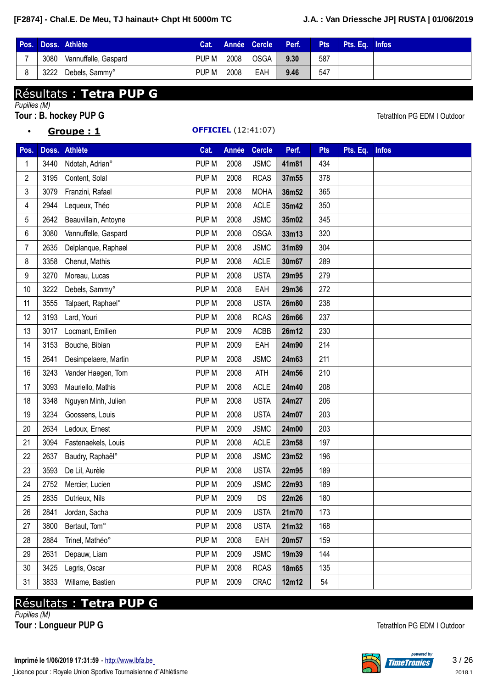• **Groupe : 1 OFFICIEL** (12:41:07)

|      | Pos. Doss. Athlète   | Cat.  |      |          | Année Cercle Perf. | Pts | Pts. Ea. Infos |  |
|------|----------------------|-------|------|----------|--------------------|-----|----------------|--|
| 3080 | Vannuffelle, Gaspard | PUP M | 2008 | $OSGA +$ | 9.30               | 587 |                |  |
| 3222 | Debels, Sammy°       | PUP M | 2008 | EAH      | 9.46               | 547 |                |  |

# Résultats : **Tetra PUP G**

*Pupilles (M)*

**Tour** : **B.** hockey PUP G **Tetrathlon PG EDM I Outdoor** 

| Pos.           |      | Doss. Athlète        | Cat.             | Année | <b>Cercle</b> | Perf. | <b>Pts</b> | Pts. Eq. | <b>Infos</b> |
|----------------|------|----------------------|------------------|-------|---------------|-------|------------|----------|--------------|
| 1              | 3440 | Ndotah, Adrian°      | PUP M            | 2008  | <b>JSMC</b>   | 41m81 | 434        |          |              |
| 2              | 3195 | Content, Solal       | PUP M            | 2008  | <b>RCAS</b>   | 37m55 | 378        |          |              |
| 3              | 3079 | Franzini, Rafael     | PUP M            | 2008  | <b>MOHA</b>   | 36m52 | 365        |          |              |
| 4              | 2944 | Lequeux, Théo        | PUP M            | 2008  | <b>ACLE</b>   | 35m42 | 350        |          |              |
| 5              | 2642 | Beauvillain, Antoyne | PUP <sub>M</sub> | 2008  | <b>JSMC</b>   | 35m02 | 345        |          |              |
| 6              | 3080 | Vannuffelle, Gaspard | PUP M            | 2008  | <b>OSGA</b>   | 33m13 | 320        |          |              |
| $\overline{7}$ | 2635 | Delplanque, Raphael  | PUP M            | 2008  | <b>JSMC</b>   | 31m89 | 304        |          |              |
| 8              | 3358 | Chenut, Mathis       | PUP M            | 2008  | <b>ACLE</b>   | 30m67 | 289        |          |              |
| 9              | 3270 | Moreau, Lucas        | PUP M            | 2008  | <b>USTA</b>   | 29m95 | 279        |          |              |
| 10             | 3222 | Debels, Sammy°       | PUP <sub>M</sub> | 2008  | EAH           | 29m36 | 272        |          |              |
| 11             | 3555 | Talpaert, Raphael°   | PUP M            | 2008  | <b>USTA</b>   | 26m80 | 238        |          |              |
| 12             | 3193 | Lard, Youri          | PUP <sub>M</sub> | 2008  | <b>RCAS</b>   | 26m66 | 237        |          |              |
| 13             | 3017 | Locmant, Emilien     | PUP M            | 2009  | <b>ACBB</b>   | 26m12 | 230        |          |              |
| 14             | 3153 | Bouche, Bibian       | PUP M            | 2009  | EAH           | 24m90 | 214        |          |              |
| 15             | 2641 | Desimpelaere, Martin | PUP M            | 2008  | <b>JSMC</b>   | 24m63 | 211        |          |              |
| 16             | 3243 | Vander Haegen, Tom   | PUP M            | 2008  | ATH           | 24m56 | 210        |          |              |
| 17             | 3093 | Mauriello, Mathis    | PUP <sub>M</sub> | 2008  | <b>ACLE</b>   | 24m40 | 208        |          |              |
| 18             | 3348 | Nguyen Minh, Julien  | PUP M            | 2008  | <b>USTA</b>   | 24m27 | 206        |          |              |
| 19             | 3234 | Goossens, Louis      | PUP M            | 2008  | <b>USTA</b>   | 24m07 | 203        |          |              |
| 20             | 2634 | Ledoux, Ernest       | PUP M            | 2009  | <b>JSMC</b>   | 24m00 | 203        |          |              |
| 21             | 3094 | Fastenaekels, Louis  | PUP M            | 2008  | <b>ACLE</b>   | 23m58 | 197        |          |              |
| 22             | 2637 | Baudry, Raphaël°     | PUP M            | 2008  | <b>JSMC</b>   | 23m52 | 196        |          |              |
| 23             | 3593 | De Lil, Aurèle       | PUP M            | 2008  | <b>USTA</b>   | 22m95 | 189        |          |              |
| 24             | 2752 | Mercier, Lucien      | PUP <sub>M</sub> | 2009  | <b>JSMC</b>   | 22m93 | 189        |          |              |
| 25             | 2835 | Dutrieux, Nils       | PUP M            | 2009  | DS            | 22m26 | 180        |          |              |
| 26             | 2841 | Jordan, Sacha        | PUP M            | 2009  | <b>USTA</b>   | 21m70 | 173        |          |              |
| 27             | 3800 | Bertaut, Tom°        | PUP M            | 2008  | <b>USTA</b>   | 21m32 | 168        |          |              |
| 28             | 2884 | Trinel, Mathéo°      | PUP M            | 2008  | EAH           | 20m57 | 159        |          |              |
| 29             | 2631 | Depauw, Liam         | PUP M            | 2009  | <b>JSMC</b>   | 19m39 | 144        |          |              |
| 30             | 3425 | Legris, Oscar        | PUP M            | 2008  | <b>RCAS</b>   | 18m65 | 135        |          |              |
| 31             | 3833 | Willame, Bastien     | PUP M            | 2009  | CRAC          | 12m12 | 54         |          |              |

# Résultats : **Tetra PUP G**

*Pupilles (M)*

**Tour** : Longueur PUP G<br>
Tetrathlon PG EDM I Outdoor

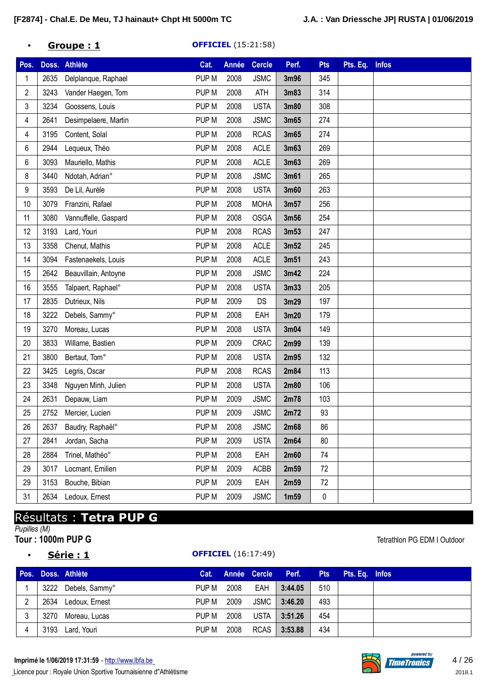### • **Groupe : 1 OFFICIEL** (15:21:58)

| Pos. |      | Doss. Athlète        | Cat.             | Année | <b>Cercle</b> | Perf. | <b>Pts</b> | Pts. Eq. | <b>Infos</b> |
|------|------|----------------------|------------------|-------|---------------|-------|------------|----------|--------------|
| 1    | 2635 | Delplanque, Raphael  | PUP <sub>M</sub> | 2008  | <b>JSMC</b>   | 3m96  | 345        |          |              |
| 2    | 3243 | Vander Haegen, Tom   | PUP M            | 2008  | <b>ATH</b>    | 3m83  | 314        |          |              |
| 3    | 3234 | Goossens, Louis      | PUP M            | 2008  | <b>USTA</b>   | 3m80  | 308        |          |              |
| 4    | 2641 | Desimpelaere, Martin | PUP M            | 2008  | <b>JSMC</b>   | 3m65  | 274        |          |              |
| 4    | 3195 | Content, Solal       | PUP M            | 2008  | <b>RCAS</b>   | 3m65  | 274        |          |              |
| 6    | 2944 | Lequeux, Théo        | PUP M            | 2008  | <b>ACLE</b>   | 3m63  | 269        |          |              |
| 6    | 3093 | Mauriello, Mathis    | PUP M            | 2008  | <b>ACLE</b>   | 3m63  | 269        |          |              |
| 8    | 3440 | Ndotah, Adrian°      | PUP <sub>M</sub> | 2008  | <b>JSMC</b>   | 3m61  | 265        |          |              |
| 9    | 3593 | De Lil, Aurèle       | PUP M            | 2008  | <b>USTA</b>   | 3m60  | 263        |          |              |
| 10   | 3079 | Franzini, Rafael     | PUP M            | 2008  | <b>MOHA</b>   | 3m57  | 256        |          |              |
| 11   | 3080 | Vannuffelle, Gaspard | PUP M            | 2008  | <b>OSGA</b>   | 3m56  | 254        |          |              |
| 12   | 3193 | Lard, Youri          | PUP M            | 2008  | <b>RCAS</b>   | 3m53  | 247        |          |              |
| 13   | 3358 | Chenut, Mathis       | PUP <sub>M</sub> | 2008  | <b>ACLE</b>   | 3m52  | 245        |          |              |
| 14   | 3094 | Fastenaekels, Louis  | PUP M            | 2008  | <b>ACLE</b>   | 3m51  | 243        |          |              |
| 15   | 2642 | Beauvillain, Antoyne | PUP <sub>M</sub> | 2008  | <b>JSMC</b>   | 3m42  | 224        |          |              |
| 16   | 3555 | Talpaert, Raphael°   | PUP M            | 2008  | <b>USTA</b>   | 3m33  | 205        |          |              |
| 17   | 2835 | Dutrieux, Nils       | PUP M            | 2009  | DS            | 3m29  | 197        |          |              |
| 18   | 3222 | Debels, Sammy°       | PUP M            | 2008  | EAH           | 3m20  | 179        |          |              |
| 19   | 3270 | Moreau, Lucas        | PUP M            | 2008  | <b>USTA</b>   | 3m04  | 149        |          |              |
| 20   | 3833 | Willame, Bastien     | PUP <sub>M</sub> | 2009  | <b>CRAC</b>   | 2m99  | 139        |          |              |
| 21   | 3800 | Bertaut, Tom°        | PUP <sub>M</sub> | 2008  | <b>USTA</b>   | 2m95  | 132        |          |              |
| 22   | 3425 | Legris, Oscar        | PUP <sub>M</sub> | 2008  | <b>RCAS</b>   | 2m84  | 113        |          |              |
| 23   | 3348 | Nguyen Minh, Julien  | PUP M            | 2008  | <b>USTA</b>   | 2m80  | 106        |          |              |
| 24   | 2631 | Depauw, Liam         | PUP M            | 2009  | <b>JSMC</b>   | 2m78  | 103        |          |              |
| 25   | 2752 | Mercier, Lucien      | PUP M            | 2009  | <b>JSMC</b>   | 2m72  | 93         |          |              |
| 26   | 2637 | Baudry, Raphaël°     | PUP M            | 2008  | <b>JSMC</b>   | 2m68  | 86         |          |              |
| 27   | 2841 | Jordan, Sacha        | PUP M            | 2009  | <b>USTA</b>   | 2m64  | 80         |          |              |
| 28   | 2884 | Trinel, Mathéo°      | PUP M            | 2008  | EAH           | 2m60  | 74         |          |              |
| 29   | 3017 | Locmant, Emilien     | PUP M            | 2009  | ACBB          | 2m59  | 72         |          |              |
| 29   | 3153 | Bouche, Bibian       | PUP M            | 2009  | EAH           | 2m59  | 72         |          |              |
| 31   | 2634 | Ledoux, Ernest       | PUP M            | 2009  | <b>JSMC</b>   | 1m59  | 0          |          |              |

# Résultats : **Tetra PUP G**

*Pupilles (M)*

- -

#### • **Série : 1 OFFICIEL** (16:17:49)

## **Pos. Doss. Athlète Cat. Année Cercle Perf. Pts Pts. Eq. Infos** 3222 Debels, Sammy° PUP M 2008 EAH **3:44.05** 510 2634 Ledoux, Ernest PUP M 2009 JSMC **3:46.20** 493 3270 Moreau, Lucas PUP M 2008 USTA **3:51.26** 454 3193 Lard, Youri PUP M 2008 RCAS **3:53.88** 434



**Tour : 1000m PUP G** Tetrathlon PG EDM I Outdoor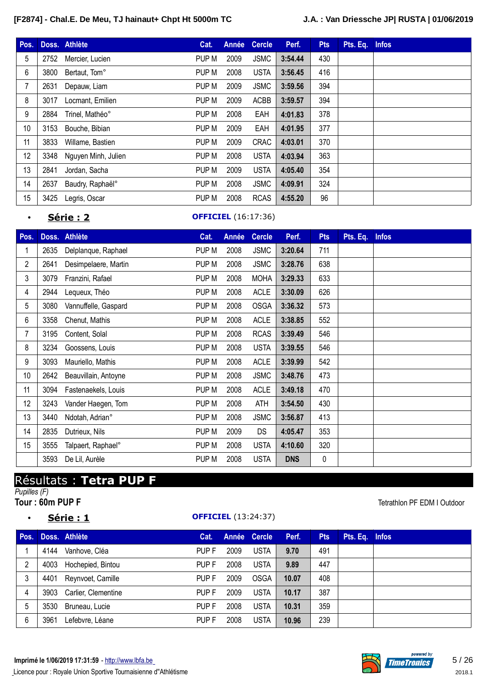| Pos. |      | Doss. Athlète       | Cat.  | Année | <b>Cercle</b> | Perf.   | <b>Pts</b> | Pts. Eq. | <b>Infos</b> |
|------|------|---------------------|-------|-------|---------------|---------|------------|----------|--------------|
| 5    | 2752 | Mercier, Lucien     | PUP M | 2009  | <b>JSMC</b>   | 3:54.44 | 430        |          |              |
| 6    | 3800 | Bertaut, Tom°       | PUP M | 2008  | <b>USTA</b>   | 3:56.45 | 416        |          |              |
| 7    | 2631 | Depauw, Liam        | PUP M | 2009  | <b>JSMC</b>   | 3:59.56 | 394        |          |              |
| 8    | 3017 | Locmant, Emilien    | PUP M | 2009  | <b>ACBB</b>   | 3:59.57 | 394        |          |              |
| 9    | 2884 | Trinel, Mathéo°     | PUP M | 2008  | EAH           | 4:01.83 | 378        |          |              |
| 10   | 3153 | Bouche, Bibian      | PUP M | 2009  | EAH           | 4:01.95 | 377        |          |              |
| 11   | 3833 | Willame, Bastien    | PUP M | 2009  | <b>CRAC</b>   | 4:03.01 | 370        |          |              |
| 12   | 3348 | Nguyen Minh, Julien | PUP M | 2008  | <b>USTA</b>   | 4:03.94 | 363        |          |              |
| 13   | 2841 | Jordan, Sacha       | PUP M | 2009  | <b>USTA</b>   | 4:05.40 | 354        |          |              |
| 14   | 2637 | Baudry, Raphaël°    | PUP M | 2008  | <b>JSMC</b>   | 4:09.91 | 324        |          |              |
| 15   | 3425 | Legris, Oscar       | PUP M | 2008  | <b>RCAS</b>   | 4:55.20 | 96         |          |              |

### • **Série : 2 OFFICIEL** (16:17:36)

| Pos.           |      | Doss. Athlète        | Cat.  | Année | <b>Cercle</b> | Perf.      | <b>Pts</b> | Pts. Eq. | <b>Infos</b> |
|----------------|------|----------------------|-------|-------|---------------|------------|------------|----------|--------------|
|                | 2635 | Delplanque, Raphael  | PUP M | 2008  | <b>JSMC</b>   | 3:20.64    | 711        |          |              |
| $\overline{2}$ | 2641 | Desimpelaere, Martin | PUP M | 2008  | <b>JSMC</b>   | 3:28.76    | 638        |          |              |
| 3              | 3079 | Franzini, Rafael     | PUP M | 2008  | <b>MOHA</b>   | 3:29.33    | 633        |          |              |
| 4              | 2944 | Lequeux, Théo        | PUP M | 2008  | <b>ACLE</b>   | 3:30.09    | 626        |          |              |
| 5              | 3080 | Vannuffelle, Gaspard | PUP M | 2008  | <b>OSGA</b>   | 3:36.32    | 573        |          |              |
| 6              | 3358 | Chenut, Mathis       | PUP M | 2008  | <b>ACLE</b>   | 3:38.85    | 552        |          |              |
| 7              | 3195 | Content, Solal       | PUP M | 2008  | <b>RCAS</b>   | 3:39.49    | 546        |          |              |
| 8              | 3234 | Goossens, Louis      | PUP M | 2008  | <b>USTA</b>   | 3:39.55    | 546        |          |              |
| 9              | 3093 | Mauriello, Mathis    | PUP M | 2008  | <b>ACLE</b>   | 3:39.99    | 542        |          |              |
| 10             | 2642 | Beauvillain, Antoyne | PUP M | 2008  | <b>JSMC</b>   | 3:48.76    | 473        |          |              |
| 11             | 3094 | Fastenaekels, Louis  | PUP M | 2008  | <b>ACLE</b>   | 3:49.18    | 470        |          |              |
| 12             | 3243 | Vander Haegen, Tom   | PUP M | 2008  | ATH           | 3:54.50    | 430        |          |              |
| 13             | 3440 | Ndotah, Adrian°      | PUP M | 2008  | <b>JSMC</b>   | 3:56.87    | 413        |          |              |
| 14             | 2835 | Dutrieux, Nils       | PUP M | 2009  | <b>DS</b>     | 4:05.47    | 353        |          |              |
| 15             | 3555 | Talpaert, Raphael°   | PUP M | 2008  | <b>USTA</b>   | 4:10.60    | 320        |          |              |
|                | 3593 | De Lil, Aurèle       | PUP M | 2008  | <b>USTA</b>   | <b>DNS</b> | 0          |          |              |

# Résultats : **Tetra PUP F**

*Pupilles (F)*

### • **Série : 1 OFFICIEL** (13:24:37)

**Tetrathlon PF EDM I Outdoor** 

| Pos. |      | Doss. Athlète       | Cat.  | Année Cercle |             | Perf. | <b>Pts</b> | Pts. Eq. Infos |  |
|------|------|---------------------|-------|--------------|-------------|-------|------------|----------------|--|
|      | 4144 | Vanhove, Cléa       | PUP F | 2009         | <b>USTA</b> | 9.70  | 491        |                |  |
| 2    | 4003 | Hochepied, Bintou   | PUP F | 2008         | <b>USTA</b> | 9.89  | 447        |                |  |
| 3    | 4401 | Reynvoet, Camille   | PUP F | 2009         | <b>OSGA</b> | 10.07 | 408        |                |  |
| 4    | 3903 | Carlier, Clementine | PUP F | 2009         | <b>USTA</b> | 10.17 | 387        |                |  |
| 5    | 3530 | Bruneau, Lucie      | PUP F | 2008         | <b>USTA</b> | 10.31 | 359        |                |  |
| 6    | 3961 | Lefebvre, Léane     | PUP F | 2008         | <b>USTA</b> | 10.96 | 239        |                |  |

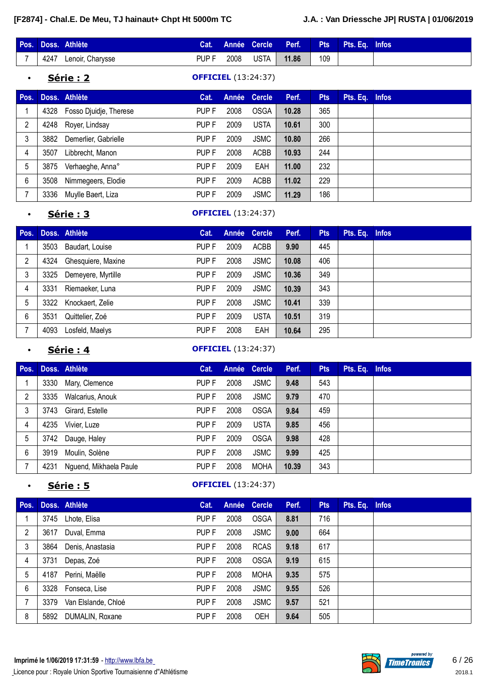|      | Pos. Doss. Athlète | Cat.  |      |      | Année Cercle Perf. | $\varepsilon$ Pts | Pts. Eq. Infos |  |
|------|--------------------|-------|------|------|--------------------|-------------------|----------------|--|
| 4247 | Lenoir, Charysse   | PUP F | 2008 | USTA | 11.86              | 109               |                |  |

• **Série : 2 OFFICIEL** (13:24:37)

| Pos. |      | Doss. Athlète          | Cat.  |      | Année Cercle | Perf. | <b>Pts</b> | Pts. Eq. Infos |  |
|------|------|------------------------|-------|------|--------------|-------|------------|----------------|--|
|      | 4328 | Fosso Djuidje, Therese | PUP F | 2008 | <b>OSGA</b>  | 10.28 | 365        |                |  |
| 2    | 4248 | Royer, Lindsay         | PUP F | 2009 | <b>USTA</b>  | 10.61 | 300        |                |  |
| 3    | 3882 | Demerlier, Gabrielle   | PUP F | 2009 | <b>JSMC</b>  | 10.80 | 266        |                |  |
| 4    | 3507 | Libbrecht, Manon       | PUP F | 2008 | <b>ACBB</b>  | 10.93 | 244        |                |  |
| 5    | 3875 | Verhaeghe, Anna°       | PUP F | 2009 | EAH          | 11.00 | 232        |                |  |
| 6    | 3508 | Nimmegeers, Elodie     | PUP F | 2009 | <b>ACBB</b>  | 11.02 | 229        |                |  |
|      | 3336 | Muylle Baert, Liza     | PUP F | 2009 | <b>JSMC</b>  | 11.29 | 186        |                |  |

### • **Série : 3 OFFICIEL** (13:24:37)

| Pos. |      | Doss. Athlète      | Cat.             |      | Année Cercle | Perf. | <b>Pts</b> | Pts. Eq. Infos |  |
|------|------|--------------------|------------------|------|--------------|-------|------------|----------------|--|
|      | 3503 | Baudart, Louise    | PUP F            | 2009 | <b>ACBB</b>  | 9.90  | 445        |                |  |
| 2    | 4324 | Ghesquiere, Maxine | PUP F            | 2008 | <b>JSMC</b>  | 10.08 | 406        |                |  |
| 3    | 3325 | Demeyere, Myrtille | PUP F            | 2009 | <b>JSMC</b>  | 10.36 | 349        |                |  |
| 4    | 3331 | Riemaeker, Luna    | PUP <sub>F</sub> | 2009 | <b>JSMC</b>  | 10.39 | 343        |                |  |
| 5    | 3322 | Knockaert, Zelie   | PUP F            | 2008 | <b>JSMC</b>  | 10.41 | 339        |                |  |
| 6    | 3531 | Quittelier, Zoé    | PUP <sub>F</sub> | 2009 | <b>USTA</b>  | 10.51 | 319        |                |  |
|      | 4093 | Losfeld, Maelys    | PUP F            | 2008 | EAH          | 10.64 | 295        |                |  |

### • **Série : 4 OFFICIEL** (13:24:37)

| Pos. |      | Doss. Athlète          | Cat.  |      | Année Cercle | Perf. | <b>Pts</b> | Pts. Eq. Infos |  |
|------|------|------------------------|-------|------|--------------|-------|------------|----------------|--|
|      | 3330 | Mary, Clemence         | PUP F | 2008 | <b>JSMC</b>  | 9.48  | 543        |                |  |
| 2    | 3335 | Walcarius, Anouk       | PUP F | 2008 | <b>JSMC</b>  | 9.79  | 470        |                |  |
| 3    | 3743 | Girard, Estelle        | PUP F | 2008 | <b>OSGA</b>  | 9.84  | 459        |                |  |
| 4    | 4235 | Vivier, Luze           | PUP F | 2009 | <b>USTA</b>  | 9.85  | 456        |                |  |
| 5    | 3742 | Dauge, Haley           | PUP F | 2009 | <b>OSGA</b>  | 9.98  | 428        |                |  |
| 6    | 3919 | Moulin, Solène         | PUP F | 2008 | <b>JSMC</b>  | 9.99  | 425        |                |  |
|      | 4231 | Nguend, Mikhaela Paule | PUP F | 2008 | MOHA         | 10.39 | 343        |                |  |

### • **Série : 5 OFFICIEL** (13:24:37)

| Pos. |      | Doss. Athlète       | Cat.             |      | Année Cercle | Perf. | <b>Pts</b> | Pts. Eq. Infos |  |
|------|------|---------------------|------------------|------|--------------|-------|------------|----------------|--|
|      | 3745 | Lhote, Elisa        | PUP F            | 2008 | <b>OSGA</b>  | 8.81  | 716        |                |  |
| 2    | 3617 | Duval, Emma         | PUP <sub>F</sub> | 2008 | <b>JSMC</b>  | 9.00  | 664        |                |  |
| 3    | 3864 | Denis, Anastasia    | PUP F            | 2008 | <b>RCAS</b>  | 9.18  | 617        |                |  |
| 4    | 3731 | Depas, Zoé          | PUP F            | 2008 | <b>OSGA</b>  | 9.19  | 615        |                |  |
| 5    | 4187 | Perini, Maëlle      | PUP F            | 2008 | <b>MOHA</b>  | 9.35  | 575        |                |  |
| 6    |      | 3328 Fonseca, Lise  | PUP F            | 2008 | <b>JSMC</b>  | 9.55  | 526        |                |  |
|      | 3379 | Van Elslande, Chloé | PUP F            | 2008 | <b>JSMC</b>  | 9.57  | 521        |                |  |
| 8    | 5892 | DUMALIN, Roxane     | PUP F            | 2008 | OEH          | 9.64  | 505        |                |  |

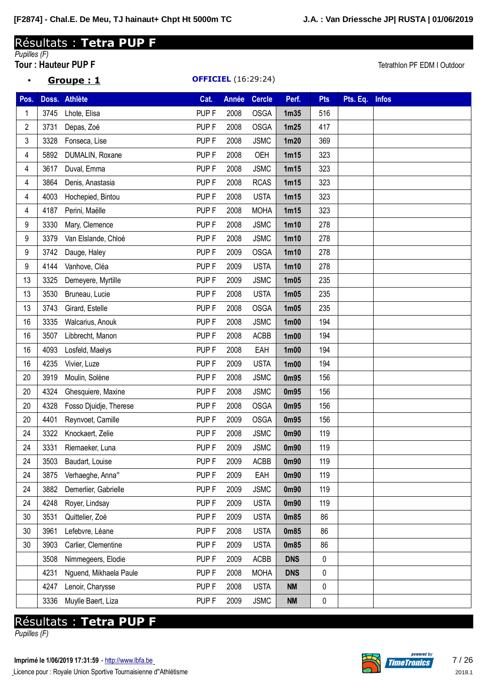• **Groupe : 1 OFFICIEL** (16:29:24)

# Résultats : **Tetra PUP F**

# *Pupilles (F)*

**Tour : Hauteur PUP F** Tetrathlon PF EDM I Outdoor

| Pos. |      | Doss. Athlète          | Cat.             | <b>Année</b> | <b>Cercle</b> | Perf.             | <b>Pts</b> | Pts. Eq. | <b>Infos</b> |
|------|------|------------------------|------------------|--------------|---------------|-------------------|------------|----------|--------------|
| 1    | 3745 | Lhote, Elisa           | PUP <sub>F</sub> | 2008         | <b>OSGA</b>   | 1 <sub>m35</sub>  | 516        |          |              |
| 2    | 3731 | Depas, Zoé             | PUP <sub>F</sub> | 2008         | <b>OSGA</b>   | 1m25              | 417        |          |              |
| 3    | 3328 | Fonseca, Lise          | PUP <sub>F</sub> | 2008         | <b>JSMC</b>   | 1 <sub>m20</sub>  | 369        |          |              |
| 4    | 5892 | DUMALIN, Roxane        | PUP <sub>F</sub> | 2008         | OEH           | 1m15              | 323        |          |              |
| 4    | 3617 | Duval, Emma            | PUP <sub>F</sub> | 2008         | <b>JSMC</b>   | 1m15              | 323        |          |              |
| 4    | 3864 | Denis, Anastasia       | PUP <sub>F</sub> | 2008         | <b>RCAS</b>   | 1m15              | 323        |          |              |
| 4    | 4003 | Hochepied, Bintou      | PUP <sub>F</sub> | 2008         | <b>USTA</b>   | 1m15              | 323        |          |              |
| 4    | 4187 | Perini, Maëlle         | PUP <sub>F</sub> | 2008         | <b>MOHA</b>   | 1m15              | 323        |          |              |
| 9    | 3330 | Mary, Clemence         | PUP <sub>F</sub> | 2008         | <b>JSMC</b>   | 1 <sub>m10</sub>  | 278        |          |              |
| 9    | 3379 | Van Elslande, Chloé    | PUP <sub>F</sub> | 2008         | <b>JSMC</b>   | 1 <sub>m10</sub>  | 278        |          |              |
| 9    | 3742 | Dauge, Haley           | PUP <sub>F</sub> | 2009         | <b>OSGA</b>   | 1 <sub>m10</sub>  | 278        |          |              |
| 9    | 4144 | Vanhove, Cléa          | PUP <sub>F</sub> | 2009         | <b>USTA</b>   | 1 <sub>m10</sub>  | 278        |          |              |
| 13   | 3325 | Demeyere, Myrtille     | PUP <sub>F</sub> | 2009         | <b>JSMC</b>   | 1 <sub>m05</sub>  | 235        |          |              |
| 13   | 3530 | Bruneau, Lucie         | PUP <sub>F</sub> | 2008         | <b>USTA</b>   | 1 <sub>m05</sub>  | 235        |          |              |
| 13   | 3743 | Girard, Estelle        | PUP <sub>F</sub> | 2008         | <b>OSGA</b>   | 1 <sub>m05</sub>  | 235        |          |              |
| 16   | 3335 | Walcarius, Anouk       | PUP <sub>F</sub> | 2008         | <b>JSMC</b>   | 1 <sub>m</sub> 00 | 194        |          |              |
| 16   | 3507 | Libbrecht, Manon       | PUP <sub>F</sub> | 2008         | <b>ACBB</b>   | 1 <sub>m</sub> 00 | 194        |          |              |
| 16   | 4093 | Losfeld, Maelys        | PUP <sub>F</sub> | 2008         | EAH           | 1 <sub>m</sub> 00 | 194        |          |              |
| 16   | 4235 | Vivier, Luze           | PUP <sub>F</sub> | 2009         | <b>USTA</b>   | 1 <sub>m</sub> 00 | 194        |          |              |
| 20   | 3919 | Moulin, Solène         | PUP <sub>F</sub> | 2008         | <b>JSMC</b>   | 0m95              | 156        |          |              |
| 20   | 4324 | Ghesquiere, Maxine     | PUP <sub>F</sub> | 2008         | <b>JSMC</b>   | 0m95              | 156        |          |              |
| 20   | 4328 | Fosso Djuidje, Therese | PUP <sub>F</sub> | 2008         | <b>OSGA</b>   | 0m95              | 156        |          |              |
| 20   | 4401 | Reynvoet, Camille      | PUP <sub>F</sub> | 2009         | <b>OSGA</b>   | 0m95              | 156        |          |              |
| 24   | 3322 | Knockaert, Zelie       | PUP <sub>F</sub> | 2008         | <b>JSMC</b>   | 0m90              | 119        |          |              |
| 24   | 3331 | Riemaeker, Luna        | PUP <sub>F</sub> | 2009         | <b>JSMC</b>   | 0m90              | 119        |          |              |
| 24   | 3503 | Baudart, Louise        | PUP <sub>F</sub> | 2009         | <b>ACBB</b>   | 0m90              | 119        |          |              |
| 24   | 3875 | Verhaeghe, Anna°       | PUP <sub>F</sub> | 2009         | EAH           | 0m90              | 119        |          |              |
| 24   | 3882 | Demerlier, Gabrielle   | PUP <sub>F</sub> | 2009         | <b>JSMC</b>   | 0m90              | 119        |          |              |
| 24   | 4248 | Royer, Lindsay         | PUP <sub>F</sub> | 2009         | <b>USTA</b>   | 0m90              | 119        |          |              |
| 30   | 3531 | Quittelier, Zoé        | PUP <sub>F</sub> | 2009         | <b>USTA</b>   | 0m85              | 86         |          |              |
| 30   | 3961 | Lefebvre, Léane        | PUP <sub>F</sub> | 2008         | <b>USTA</b>   | 0m85              | 86         |          |              |
| 30   | 3903 | Carlier, Clementine    | PUP <sub>F</sub> | 2009         | <b>USTA</b>   | 0m85              | 86         |          |              |
|      | 3508 | Nimmegeers, Elodie     | PUP <sub>F</sub> | 2009         | <b>ACBB</b>   | <b>DNS</b>        | 0          |          |              |
|      | 4231 | Nguend, Mikhaela Paule | PUP <sub>F</sub> | 2008         | <b>MOHA</b>   | <b>DNS</b>        | 0          |          |              |
|      | 4247 | Lenoir, Charysse       | PUP <sub>F</sub> | 2008         | <b>USTA</b>   | <b>NM</b>         | 0          |          |              |
|      | 3336 | Muylle Baert, Liza     | PUP <sub>F</sub> | 2009         | <b>JSMC</b>   | <b>NM</b>         | $\pmb{0}$  |          |              |

# Résultats : **Tetra PUP F**

*Pupilles (F)*

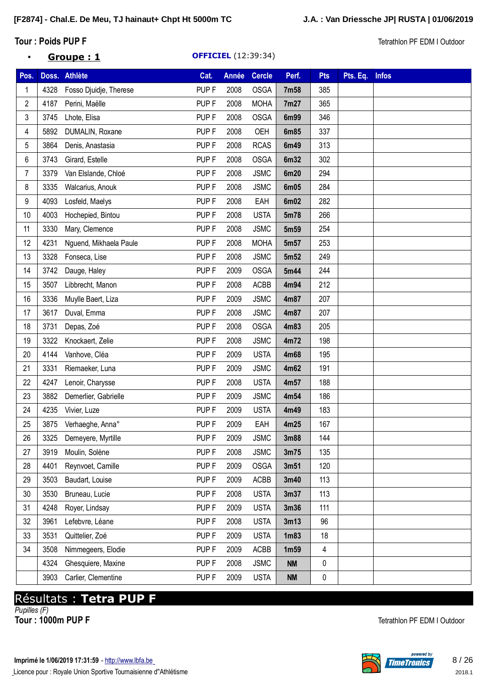### **Tour** : **Poids PUP F** Tetrathlon PF EDM I Outdoor

### • **Groupe : 1 OFFICIEL** (12:39:34)

| Pos. |      | Doss. Athlète          | Cat.             | Année | <b>Cercle</b> | Perf.            | <b>Pts</b> | Pts. Eq. | <b>Infos</b> |
|------|------|------------------------|------------------|-------|---------------|------------------|------------|----------|--------------|
| 1    | 4328 | Fosso Djuidje, Therese | PUP <sub>F</sub> | 2008  | <b>OSGA</b>   | 7m58             | 385        |          |              |
| 2    | 4187 | Perini, Maëlle         | PUP <sub>F</sub> | 2008  | <b>MOHA</b>   | 7m27             | 365        |          |              |
| 3    | 3745 | Lhote, Elisa           | PUP <sub>F</sub> | 2008  | <b>OSGA</b>   | 6m99             | 346        |          |              |
| 4    | 5892 | DUMALIN, Roxane        | PUP <sub>F</sub> | 2008  | OEH           | 6m85             | 337        |          |              |
| 5    | 3864 | Denis, Anastasia       | PUP <sub>F</sub> | 2008  | <b>RCAS</b>   | 6m49             | 313        |          |              |
| 6    | 3743 | Girard, Estelle        | PUP <sub>F</sub> | 2008  | <b>OSGA</b>   | 6m32             | 302        |          |              |
| 7    | 3379 | Van Elslande, Chloé    | PUP <sub>F</sub> | 2008  | <b>JSMC</b>   | 6m20             | 294        |          |              |
| 8    | 3335 | Walcarius, Anouk       | PUP <sub>F</sub> | 2008  | <b>JSMC</b>   | 6m05             | 284        |          |              |
| 9    | 4093 | Losfeld, Maelys        | PUP <sub>F</sub> | 2008  | EAH           | 6m02             | 282        |          |              |
| 10   | 4003 | Hochepied, Bintou      | PUP <sub>F</sub> | 2008  | <b>USTA</b>   | 5m78             | 266        |          |              |
| 11   | 3330 | Mary, Clemence         | PUP <sub>F</sub> | 2008  | <b>JSMC</b>   | 5m59             | 254        |          |              |
| 12   | 4231 | Nguend, Mikhaela Paule | PUP <sub>F</sub> | 2008  | <b>MOHA</b>   | 5m57             | 253        |          |              |
| 13   | 3328 | Fonseca, Lise          | PUP <sub>F</sub> | 2008  | <b>JSMC</b>   | 5m <sub>52</sub> | 249        |          |              |
| 14   | 3742 | Dauge, Haley           | PUP <sub>F</sub> | 2009  | <b>OSGA</b>   | 5m44             | 244        |          |              |
| 15   | 3507 | Libbrecht, Manon       | PUP <sub>F</sub> | 2008  | ACBB          | 4m94             | 212        |          |              |
| 16   | 3336 | Muylle Baert, Liza     | PUP <sub>F</sub> | 2009  | <b>JSMC</b>   | 4m87             | 207        |          |              |
| 17   | 3617 | Duval, Emma            | PUP <sub>F</sub> | 2008  | <b>JSMC</b>   | 4m87             | 207        |          |              |
| 18   | 3731 | Depas, Zoé             | PUP <sub>F</sub> | 2008  | <b>OSGA</b>   | 4m83             | 205        |          |              |
| 19   | 3322 | Knockaert, Zelie       | PUP <sub>F</sub> | 2008  | <b>JSMC</b>   | 4m72             | 198        |          |              |
| 20   | 4144 | Vanhove, Cléa          | PUP <sub>F</sub> | 2009  | <b>USTA</b>   | 4m68             | 195        |          |              |
| 21   | 3331 | Riemaeker, Luna        | PUP <sub>F</sub> | 2009  | <b>JSMC</b>   | 4m62             | 191        |          |              |
| 22   | 4247 | Lenoir, Charysse       | PUP <sub>F</sub> | 2008  | <b>USTA</b>   | 4m57             | 188        |          |              |
| 23   | 3882 | Demerlier, Gabrielle   | PUP <sub>F</sub> | 2009  | <b>JSMC</b>   | 4m54             | 186        |          |              |
| 24   | 4235 | Vivier, Luze           | PUP <sub>F</sub> | 2009  | <b>USTA</b>   | 4m49             | 183        |          |              |
| 25   | 3875 | Verhaeghe, Anna°       | PUP <sub>F</sub> | 2009  | EAH           | 4m25             | 167        |          |              |
| 26   | 3325 | Demeyere, Myrtille     | PUP <sub>F</sub> | 2009  | <b>JSMC</b>   | 3m88             | 144        |          |              |
| 27   | 3919 | Moulin, Solène         | PUP <sub>F</sub> | 2008  | <b>JSMC</b>   | 3m75             | 135        |          |              |
| 28   | 4401 | Reynvoet, Camille      | PUP <sub>F</sub> | 2009  | <b>OSGA</b>   | 3m51             | 120        |          |              |
| 29   | 3503 | Baudart, Louise        | PUP <sub>F</sub> | 2009  | <b>ACBB</b>   | 3m40             | 113        |          |              |
| 30   | 3530 | Bruneau, Lucie         | PUP <sub>F</sub> | 2008  | <b>USTA</b>   | 3m37             | 113        |          |              |
| 31   | 4248 | Royer, Lindsay         | PUP <sub>F</sub> | 2009  | <b>USTA</b>   | 3m36             | 111        |          |              |
| 32   | 3961 | Lefebvre, Léane        | PUP <sub>F</sub> | 2008  | <b>USTA</b>   | 3m13             | 96         |          |              |
| 33   | 3531 | Quittelier, Zoé        | PUP <sub>F</sub> | 2009  | <b>USTA</b>   | 1 <sub>m83</sub> | 18         |          |              |
| 34   | 3508 | Nimmegeers, Elodie     | PUP <sub>F</sub> | 2009  | ACBB          | 1 <sub>m59</sub> | 4          |          |              |
|      | 4324 | Ghesquiere, Maxine     | PUP <sub>F</sub> | 2008  | <b>JSMC</b>   | <b>NM</b>        | 0          |          |              |
|      | 3903 | Carlier, Clementine    | PUP <sub>F</sub> | 2009  | <b>USTA</b>   | <b>NM</b>        | $\pmb{0}$  |          |              |

# Résultats : **Tetra PUP F**

*Pupilles (F)*



**Tetrathlon PF EDM I Outdoor**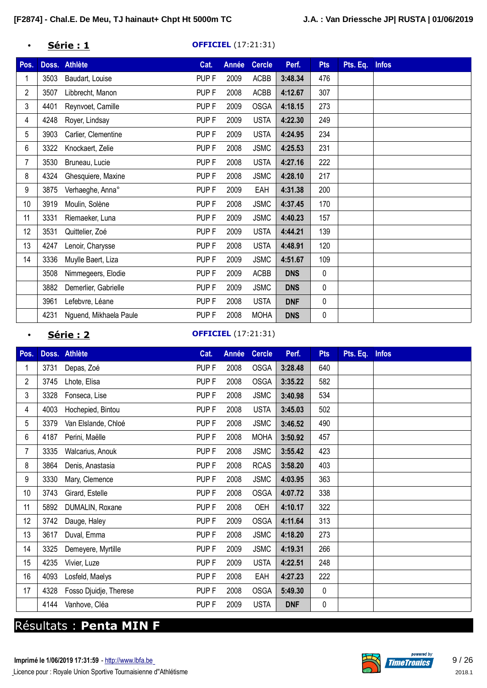### • **Série : 1 OFFICIEL** (17:21:31)

| Pos.           | Doss. | <b>Athlète</b>         | Cat.             | Année | <b>Cercle</b> | Perf.      | <b>Pts</b> | Pts. Eq. | <b>Infos</b> |
|----------------|-------|------------------------|------------------|-------|---------------|------------|------------|----------|--------------|
|                | 3503  | Baudart, Louise        | PUP <sub>F</sub> | 2009  | ACBB          | 3:48.34    | 476        |          |              |
| $\overline{2}$ | 3507  | Libbrecht, Manon       | PUP <sub>F</sub> | 2008  | ACBB          | 4:12.67    | 307        |          |              |
| 3              | 4401  | Reynvoet, Camille      | PUP <sub>F</sub> | 2009  | <b>OSGA</b>   | 4:18.15    | 273        |          |              |
| 4              | 4248  | Royer, Lindsay         | PUP <sub>F</sub> | 2009  | <b>USTA</b>   | 4:22.30    | 249        |          |              |
| 5              | 3903  | Carlier, Clementine    | PUP <sub>F</sub> | 2009  | <b>USTA</b>   | 4:24.95    | 234        |          |              |
| 6              | 3322  | Knockaert, Zelie       | PUP <sub>F</sub> | 2008  | <b>JSMC</b>   | 4:25.53    | 231        |          |              |
| 7              | 3530  | Bruneau, Lucie         | PUP <sub>F</sub> | 2008  | <b>USTA</b>   | 4:27.16    | 222        |          |              |
| 8              | 4324  | Ghesquiere, Maxine     | PUP <sub>F</sub> | 2008  | <b>JSMC</b>   | 4:28.10    | 217        |          |              |
| 9              | 3875  | Verhaeghe, Anna°       | PUP <sub>F</sub> | 2009  | EAH           | 4:31.38    | 200        |          |              |
| 10             | 3919  | Moulin, Solène         | PUP <sub>F</sub> | 2008  | <b>JSMC</b>   | 4:37.45    | 170        |          |              |
| 11             | 3331  | Riemaeker, Luna        | PUP <sub>F</sub> | 2009  | <b>JSMC</b>   | 4:40.23    | 157        |          |              |
| 12             | 3531  | Quittelier, Zoé        | PUP <sub>F</sub> | 2009  | <b>USTA</b>   | 4:44.21    | 139        |          |              |
| 13             | 4247  | Lenoir, Charysse       | PUP <sub>F</sub> | 2008  | <b>USTA</b>   | 4:48.91    | 120        |          |              |
| 14             | 3336  | Muylle Baert, Liza     | PUP <sub>F</sub> | 2009  | <b>JSMC</b>   | 4:51.67    | 109        |          |              |
|                | 3508  | Nimmegeers, Elodie     | PUP <sub>F</sub> | 2009  | ACBB          | <b>DNS</b> | 0          |          |              |
|                | 3882  | Demerlier, Gabrielle   | PUP <sub>F</sub> | 2009  | <b>JSMC</b>   | <b>DNS</b> | 0          |          |              |
|                | 3961  | Lefebvre, Léane        | PUP <sub>F</sub> | 2008  | <b>USTA</b>   | <b>DNF</b> | 0          |          |              |
|                | 4231  | Nguend, Mikhaela Paule | PUP <sub>F</sub> | 2008  | <b>MOHA</b>   | <b>DNS</b> | 0          |          |              |

### • **Série : 2 OFFICIEL** (17:21:31)

| Pos.           |      | Doss. Athlète          | Cat.             | Année | <b>Cercle</b> | Perf.      | <b>Pts</b> | Pts. Eq. Infos |  |
|----------------|------|------------------------|------------------|-------|---------------|------------|------------|----------------|--|
|                | 3731 | Depas, Zoé             | PUP <sub>F</sub> | 2008  | <b>OSGA</b>   | 3:28.48    | 640        |                |  |
| $\overline{2}$ | 3745 | Lhote, Elisa           | PUP <sub>F</sub> | 2008  | <b>OSGA</b>   | 3:35.22    | 582        |                |  |
| 3              | 3328 | Fonseca, Lise          | PUP <sub>F</sub> | 2008  | <b>JSMC</b>   | 3:40.98    | 534        |                |  |
| 4              | 4003 | Hochepied, Bintou      | PUP <sub>F</sub> | 2008  | <b>USTA</b>   | 3:45.03    | 502        |                |  |
| 5              | 3379 | Van Elslande, Chloé    | PUP <sub>F</sub> | 2008  | <b>JSMC</b>   | 3:46.52    | 490        |                |  |
| 6              | 4187 | Perini, Maëlle         | PUP <sub>F</sub> | 2008  | <b>MOHA</b>   | 3:50.92    | 457        |                |  |
| 7              | 3335 | Walcarius, Anouk       | PUP <sub>F</sub> | 2008  | <b>JSMC</b>   | 3:55.42    | 423        |                |  |
| 8              | 3864 | Denis, Anastasia       | PUP <sub>F</sub> | 2008  | <b>RCAS</b>   | 3:58.20    | 403        |                |  |
| 9              | 3330 | Mary, Clemence         | PUP <sub>F</sub> | 2008  | <b>JSMC</b>   | 4:03.95    | 363        |                |  |
| 10             | 3743 | Girard, Estelle        | PUP <sub>F</sub> | 2008  | <b>OSGA</b>   | 4:07.72    | 338        |                |  |
| 11             | 5892 | DUMALIN, Roxane        | PUP <sub>F</sub> | 2008  | <b>OEH</b>    | 4:10.17    | 322        |                |  |
| 12             | 3742 | Dauge, Haley           | PUP <sub>F</sub> | 2009  | <b>OSGA</b>   | 4:11.64    | 313        |                |  |
| 13             | 3617 | Duval, Emma            | PUP <sub>F</sub> | 2008  | <b>JSMC</b>   | 4:18.20    | 273        |                |  |
| 14             | 3325 | Demeyere, Myrtille     | PUP <sub>F</sub> | 2009  | <b>JSMC</b>   | 4:19.31    | 266        |                |  |
| 15             | 4235 | Vivier, Luze           | PUP <sub>F</sub> | 2009  | <b>USTA</b>   | 4:22.51    | 248        |                |  |
| 16             | 4093 | Losfeld, Maelys        | PUP <sub>F</sub> | 2008  | EAH           | 4:27.23    | 222        |                |  |
| 17             | 4328 | Fosso Djuidje, Therese | PUP <sub>F</sub> | 2008  | <b>OSGA</b>   | 5:49.30    | 0          |                |  |
|                | 4144 | Vanhove, Cléa          | PUP <sub>F</sub> | 2009  | <b>USTA</b>   | <b>DNF</b> | 0          |                |  |

# Résultats : **Penta MIN F**

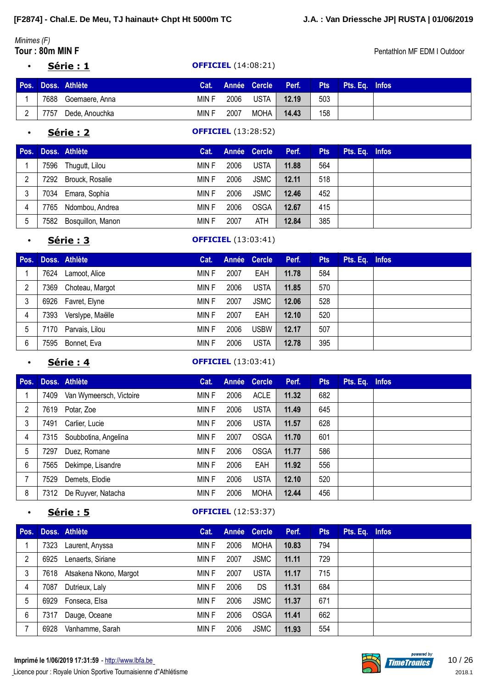# *Minimes (F)*

• **Série : 1 OFFICIEL** (14:08:21)

|      | Pos. Doss. Athlète  | Cat.  |      |        | Année Cercle Perf. | Pts | Pts. Ea. Infos |  |
|------|---------------------|-------|------|--------|--------------------|-----|----------------|--|
|      | 7688 Goemaere, Anna | MIN F | 2006 | USTA I | 12.19              | 503 |                |  |
| 7757 | Dede, Anouchka      | MIN F | 2007 | MOHA   | 14.43              | 158 |                |  |

### • **Série : 2 OFFICIEL** (13:28:52)

| Pos. |      | Doss. Athlète     | Cat.  |      | Année Cercle | Perf. | <b>Pts</b> | Pts. Eq. Infos |  |
|------|------|-------------------|-------|------|--------------|-------|------------|----------------|--|
|      | 7596 | Thugutt, Lilou    | MIN F | 2006 | <b>USTA</b>  | 11.88 | 564        |                |  |
| 2    | 7292 | Brouck, Rosalie   | MIN F | 2006 | <b>JSMC</b>  | 12.11 | 518        |                |  |
| 3    | 7034 | Emara, Sophia     | MIN F | 2006 | <b>JSMC</b>  | 12.46 | 452        |                |  |
| 4    | 7765 | Ndombou, Andrea   | MIN F | 2006 | <b>OSGA</b>  | 12.67 | 415        |                |  |
| 5    | 7582 | Bosquillon, Manon | MIN F | 2007 | ATH          | 12.84 | 385        |                |  |

### • **Série : 3 OFFICIEL** (13:03:41)

| Pos. |      | Doss. Athlète    | Cat.  | Année Cercle |             | Perf. | <b>Pts</b> | Pts. Eq. Infos |  |
|------|------|------------------|-------|--------------|-------------|-------|------------|----------------|--|
|      | 7624 | Lamoot, Alice    | MIN F | 2007         | EAH         | 11.78 | 584        |                |  |
| 2    | 7369 | Choteau, Margot  | MIN F | 2006         | <b>USTA</b> | 11.85 | 570        |                |  |
| 3    | 6926 | Favret, Elyne    | MIN F | 2007         | <b>JSMC</b> | 12.06 | 528        |                |  |
| 4    | 7393 | Verslype, Maëlle | MIN F | 2007         | EAH         | 12.10 | 520        |                |  |
| 5    | 170' | Parvais, Lilou   | MIN F | 2006         | <b>USBW</b> | 12.17 | 507        |                |  |
| 6    | 7595 | Bonnet, Eva      | MIN F | 2006         | <b>USTA</b> | 12.78 | 395        |                |  |

#### **Série : 4 OFFICIEL** (13:03:41)

|      |                         | Cat.          |      |             | Perf.        | <b>Pts</b> | Pts. Eq. | <b>Infos</b> |
|------|-------------------------|---------------|------|-------------|--------------|------------|----------|--------------|
| 7409 | Van Wymeersch, Victoire | MIN F         | 2006 | <b>ACLE</b> | 11.32        | 682        |          |              |
| 7619 | Potar, Zoe              | MIN F         | 2006 | <b>USTA</b> | 11.49        | 645        |          |              |
| 7491 | Carlier, Lucie          | MIN F         | 2006 | <b>USTA</b> | 11.57        | 628        |          |              |
| 7315 | Soubbotina, Angelina    | MIN F         | 2007 | <b>OSGA</b> | 11.70        | 601        |          |              |
| 7297 | Duez, Romane            | MIN F         | 2006 | <b>OSGA</b> | 11.77        | 586        |          |              |
| 7565 | Dekimpe, Lisandre       | MIN F         | 2006 | EAH         | 11.92        | 556        |          |              |
| 7529 | Demets, Elodie          | MIN F         | 2006 | <b>USTA</b> | 12.10        | 520        |          |              |
| 7312 | De Ruyver, Natacha      | MIN F         | 2006 | <b>MOHA</b> | 12.44        | 456        |          |              |
|      |                         | Doss. Athlète |      |             | Année Cercle |            |          |              |

### **Série : 5 OFFICIEL** (12:53:37)

| Pos. |      | Doss. Athlète          | Cat.  |      | Année Cercle | Perf. | <b>Pts</b> | Pts. Eq. | <b>Infos</b> |
|------|------|------------------------|-------|------|--------------|-------|------------|----------|--------------|
|      | 7323 | Laurent, Anyssa        | MIN F | 2006 | <b>MOHA</b>  | 10.83 | 794        |          |              |
| 2    | 6925 | Lenaerts, Siriane      | MIN F | 2007 | <b>JSMC</b>  | 11.11 | 729        |          |              |
| 3    | 7618 | Atsakena Nkono, Margot | MIN F | 2007 | <b>USTA</b>  | 11.17 | 715        |          |              |
| 4    | 7087 | Dutrieux, Laly         | MIN F | 2006 | DS           | 11.31 | 684        |          |              |
| 5    | 6929 | Fonseca, Elsa          | MIN F | 2006 | <b>JSMC</b>  | 11.37 | 671        |          |              |
| 6    | 7317 | Dauge, Oceane          | MIN F | 2006 | <b>OSGA</b>  | 11.41 | 662        |          |              |
|      | 6928 | Vanhamme, Sarah        | MIN F | 2006 | <b>JSMC</b>  | 11.93 | 554        |          |              |

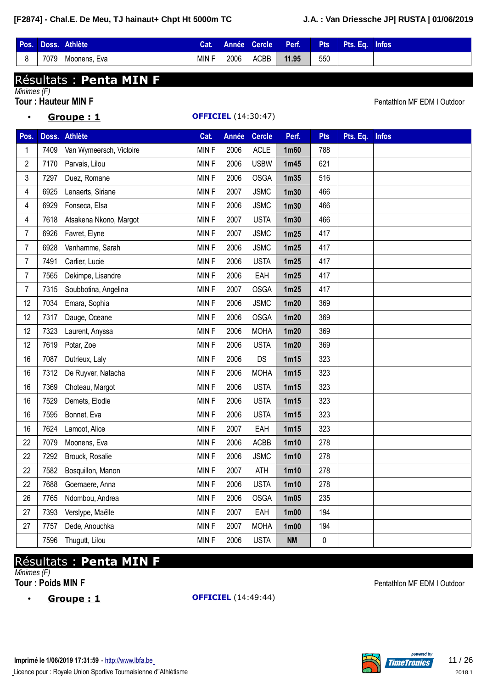|         |      | Pos. Doss. Athlète | Cat.  |      | Année Cercle | Perf. | Pts | Pts. Eq. Infos |  |
|---------|------|--------------------|-------|------|--------------|-------|-----|----------------|--|
| $\circ$ | 7079 | Moonens, Eva       | MIN F | 2006 | ACBB         | 11.95 | 550 |                |  |

# Résultats : **Penta MIN F**

*Minimes (F)*

**Tour** : Hauteur MIN F **Pentathlon MF EDM I Outdoor** 

|                |      | <u>Groupe: 1</u>        | <b>OFFICIEL</b> (14:30:47) |       |               |                   |            |          |              |  |
|----------------|------|-------------------------|----------------------------|-------|---------------|-------------------|------------|----------|--------------|--|
| Pos.           |      | Doss. Athlète           | Cat.                       | Année | <b>Cercle</b> | Perf.             | <b>Pts</b> | Pts. Eq. | <b>Infos</b> |  |
| 1              | 7409 | Van Wymeersch, Victoire | <b>MINF</b>                | 2006  | <b>ACLE</b>   | 1m60              | 788        |          |              |  |
| 2              | 7170 | Parvais, Lilou          | <b>MINF</b>                | 2006  | <b>USBW</b>   | 1m45              | 621        |          |              |  |
| 3              | 7297 | Duez, Romane            | MINF                       | 2006  | <b>OSGA</b>   | 1 <sub>m35</sub>  | 516        |          |              |  |
| 4              | 6925 | Lenaerts, Siriane       | MINF                       | 2007  | <b>JSMC</b>   | 1 <sub>m30</sub>  | 466        |          |              |  |
| 4              | 6929 | Fonseca, Elsa           | <b>MINF</b>                | 2006  | <b>JSMC</b>   | 1 <sub>m30</sub>  | 466        |          |              |  |
| 4              | 7618 | Atsakena Nkono, Margot  | <b>MINF</b>                | 2007  | <b>USTA</b>   | 1 <sub>m30</sub>  | 466        |          |              |  |
| 7              | 6926 | Favret, Elyne           | <b>MINF</b>                | 2007  | <b>JSMC</b>   | 1m25              | 417        |          |              |  |
| 7              | 6928 | Vanhamme, Sarah         | <b>MINF</b>                | 2006  | <b>JSMC</b>   | 1m25              | 417        |          |              |  |
| 7              | 7491 | Carlier, Lucie          | MINF                       | 2006  | <b>USTA</b>   | 1m25              | 417        |          |              |  |
| $\overline{7}$ | 7565 | Dekimpe, Lisandre       | MIN F                      | 2006  | EAH           | 1m25              | 417        |          |              |  |
| 7              | 7315 | Soubbotina, Angelina    | <b>MINF</b>                | 2007  | <b>OSGA</b>   | 1m25              | 417        |          |              |  |
| 12             | 7034 | Emara, Sophia           | <b>MINF</b>                | 2006  | <b>JSMC</b>   | 1m20              | 369        |          |              |  |
| 12             | 7317 | Dauge, Oceane           | <b>MINF</b>                | 2006  | <b>OSGA</b>   | 1 <sub>m20</sub>  | 369        |          |              |  |
| 12             | 7323 | Laurent, Anyssa         | <b>MINF</b>                | 2006  | <b>MOHA</b>   | 1m20              | 369        |          |              |  |
| 12             | 7619 | Potar, Zoe              | <b>MINF</b>                | 2006  | <b>USTA</b>   | 1m20              | 369        |          |              |  |
| 16             | 7087 | Dutrieux, Laly          | MINF                       | 2006  | <b>DS</b>     | 1m15              | 323        |          |              |  |
| 16             | 7312 | De Ruyver, Natacha      | <b>MINF</b>                | 2006  | <b>MOHA</b>   | 1m15              | 323        |          |              |  |
| 16             | 7369 | Choteau, Margot         | <b>MINF</b>                | 2006  | <b>USTA</b>   | 1 <sub>m15</sub>  | 323        |          |              |  |
| 16             | 7529 | Demets, Elodie          | <b>MINF</b>                | 2006  | <b>USTA</b>   | 1m15              | 323        |          |              |  |
| 16             | 7595 | Bonnet, Eva             | <b>MINF</b>                | 2006  | <b>USTA</b>   | 1m15              | 323        |          |              |  |
| 16             | 7624 | Lamoot, Alice           | <b>MINF</b>                | 2007  | EAH           | 1m15              | 323        |          |              |  |
| 22             | 7079 | Moonens, Eva            | MINF                       | 2006  | <b>ACBB</b>   | 1 <sub>m10</sub>  | 278        |          |              |  |
| 22             | 7292 | Brouck, Rosalie         | MINF                       | 2006  | <b>JSMC</b>   | 1 <sub>m10</sub>  | 278        |          |              |  |
| 22             | 7582 | Bosquillon, Manon       | MINF                       | 2007  | ATH           | 1m10              | 278        |          |              |  |
| 22             | 7688 | Goemaere, Anna          | MIN F                      | 2006  | <b>USTA</b>   | 1 <sub>m10</sub>  | 278        |          |              |  |
| 26             | 7765 | Ndombou, Andrea         | <b>MINF</b>                | 2006  | <b>OSGA</b>   | 1 <sub>m05</sub>  | 235        |          |              |  |
| 27             | 7393 | Verslype, Maëlle        | <b>MINF</b>                | 2007  | EAH           | 1 <sub>m</sub> 00 | 194        |          |              |  |
| 27             | 7757 | Dede, Anouchka          | <b>MINF</b>                | 2007  | <b>MOHA</b>   | 1 <sub>m</sub> 00 | 194        |          |              |  |
|                | 7596 | Thugutt, Lilou          | MIN F                      | 2006  | <b>USTA</b>   | <b>NM</b>         | 0          |          |              |  |

# Résultats : **Penta MIN F**

*Minimes (F)*

• **Groupe : 1 OFFICIEL** (14:49:44)

**Tour** : Poids MIN F **Pullet COVER 2018** Pentathlon MF EDM I Outdoor

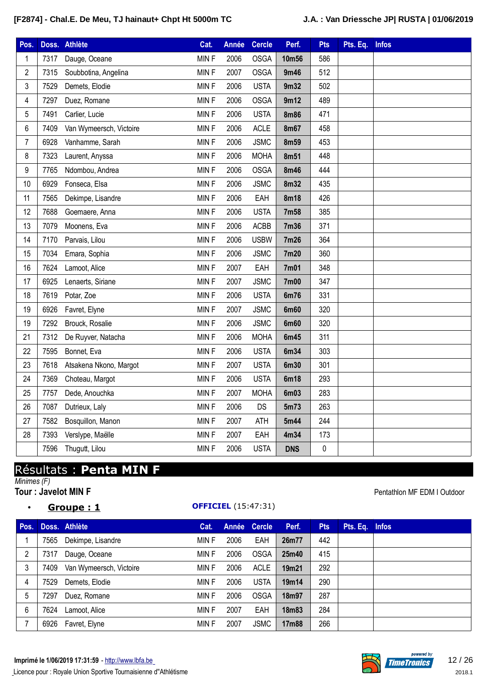| Pos.           | Doss. | Athlète                 | Cat.        | <b>Année</b> | <b>Cercle</b> | Perf.       | <b>Pts</b> | Pts. Eq. | <b>Infos</b> |
|----------------|-------|-------------------------|-------------|--------------|---------------|-------------|------------|----------|--------------|
| 1              | 7317  | Dauge, Oceane           | <b>MINF</b> | 2006         | <b>OSGA</b>   | 10m56       | 586        |          |              |
| $\mathbf{2}$   | 7315  | Soubbotina, Angelina    | MINF        | 2007         | <b>OSGA</b>   | 9m46        | 512        |          |              |
| 3              | 7529  | Demets, Elodie          | MINF        | 2006         | <b>USTA</b>   | 9m32        | 502        |          |              |
| 4              | 7297  | Duez, Romane            | MINF        | 2006         | <b>OSGA</b>   | 9m12        | 489        |          |              |
| 5              | 7491  | Carlier, Lucie          | MINF        | 2006         | <b>USTA</b>   | <b>8m86</b> | 471        |          |              |
| 6              | 7409  | Van Wymeersch, Victoire | MINF        | 2006         | <b>ACLE</b>   | <b>8m67</b> | 458        |          |              |
| $\overline{7}$ | 6928  | Vanhamme, Sarah         | MINF        | 2006         | <b>JSMC</b>   | 8m59        | 453        |          |              |
| 8              | 7323  | Laurent, Anyssa         | MINF        | 2006         | <b>MOHA</b>   | 8m51        | 448        |          |              |
| 9              | 7765  | Ndombou, Andrea         | MINF        | 2006         | <b>OSGA</b>   | <b>8m46</b> | 444        |          |              |
| 10             | 6929  | Fonseca, Elsa           | MINF        | 2006         | <b>JSMC</b>   | <b>8m32</b> | 435        |          |              |
| 11             | 7565  | Dekimpe, Lisandre       | MINF        | 2006         | EAH           | <b>8m18</b> | 426        |          |              |
| 12             | 7688  | Goemaere, Anna          | MINF        | 2006         | <b>USTA</b>   | 7m58        | 385        |          |              |
| 13             | 7079  | Moonens, Eva            | MINF        | 2006         | <b>ACBB</b>   | 7m36        | 371        |          |              |
| 14             | 7170  | Parvais, Lilou          | MINF        | 2006         | <b>USBW</b>   | 7m26        | 364        |          |              |
| 15             | 7034  | Emara, Sophia           | MINF        | 2006         | <b>JSMC</b>   | 7m20        | 360        |          |              |
| 16             | 7624  | Lamoot, Alice           | MINF        | 2007         | EAH           | 7m01        | 348        |          |              |
| 17             | 6925  | Lenaerts, Siriane       | MINF        | 2007         | <b>JSMC</b>   | 7m00        | 347        |          |              |
| 18             | 7619  | Potar, Zoe              | MINF        | 2006         | <b>USTA</b>   | 6m76        | 331        |          |              |
| 19             | 6926  | Favret, Elyne           | MINF        | 2007         | <b>JSMC</b>   | <b>6m60</b> | 320        |          |              |
| 19             | 7292  | Brouck, Rosalie         | MINF        | 2006         | <b>JSMC</b>   | <b>6m60</b> | 320        |          |              |
| 21             | 7312  | De Ruyver, Natacha      | MINF        | 2006         | <b>MOHA</b>   | 6m45        | 311        |          |              |
| 22             | 7595  | Bonnet, Eva             | MINF        | 2006         | <b>USTA</b>   | 6m34        | 303        |          |              |
| 23             | 7618  | Atsakena Nkono, Margot  | MINF        | 2007         | <b>USTA</b>   | 6m30        | 301        |          |              |
| 24             | 7369  | Choteau, Margot         | MINF        | 2006         | <b>USTA</b>   | 6m18        | 293        |          |              |
| 25             | 7757  | Dede, Anouchka          | MINF        | 2007         | <b>MOHA</b>   | 6m03        | 283        |          |              |
| 26             | 7087  | Dutrieux, Laly          | MINF        | 2006         | DS            | 5m73        | 263        |          |              |
| 27             | 7582  | Bosquillon, Manon       | MINF        | 2007         | <b>ATH</b>    | 5m44        | 244        |          |              |
| 28             | 7393  | Verslype, Maëlle        | MINF        | 2007         | EAH           | 4m34        | 173        |          |              |
|                | 7596  | Thugutt, Lilou          | MINF        | 2006         | <b>USTA</b>   | <b>DNS</b>  | $\pmb{0}$  |          |              |

# Résultats : **Penta MIN F**

*Minimes (F)*

### • **Groupe : 1 OFFICIEL** (15:47:31)

**Tour** : Javelot MIN F **Pentathlon MF EDM I Outdoor** 

| Pos. |      | Doss. Athlète           | Cat.  |      | Année Cercle | Perf. | <b>Pts</b> | Pts. Eq. Infos |  |
|------|------|-------------------------|-------|------|--------------|-------|------------|----------------|--|
|      | 7565 | Dekimpe, Lisandre       | MIN F | 2006 | EAH          | 26m77 | 442        |                |  |
| 2    | 7317 | Dauge, Oceane           | MIN F | 2006 | <b>OSGA</b>  | 25m40 | 415        |                |  |
| 3    | 7409 | Van Wymeersch, Victoire | MIN F | 2006 | <b>ACLE</b>  | 19m21 | 292        |                |  |
| 4    | 7529 | Demets, Elodie          | MIN F | 2006 | <b>USTA</b>  | 19m14 | 290        |                |  |
| 5    | 7297 | Duez, Romane            | MIN F | 2006 | <b>OSGA</b>  | 18m97 | 287        |                |  |
| 6    | 7624 | Lamoot, Alice           | MIN F | 2007 | EAH          | 18m83 | 284        |                |  |
|      |      | 6926 Favret, Elyne      | MIN F | 2007 | <b>JSMC</b>  | 17m88 | 266        |                |  |

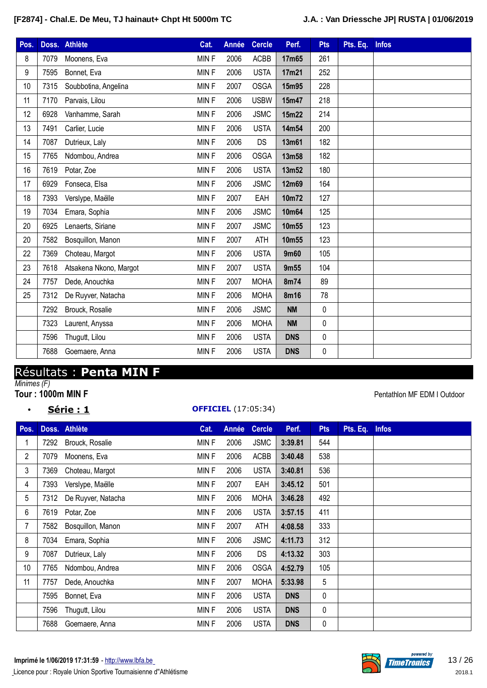| Pos. |      | Doss. Athlète          | Cat.        | <b>Année</b> | <b>Cercle</b> | Perf.      | <b>Pts</b>  | Pts. Eq. | <b>Infos</b> |
|------|------|------------------------|-------------|--------------|---------------|------------|-------------|----------|--------------|
| 8    | 7079 | Moonens, Eva           | MINF        | 2006         | <b>ACBB</b>   | 17m65      | 261         |          |              |
| 9    | 7595 | Bonnet, Eva            | <b>MINF</b> | 2006         | <b>USTA</b>   | 17m21      | 252         |          |              |
| 10   | 7315 | Soubbotina, Angelina   | <b>MINF</b> | 2007         | <b>OSGA</b>   | 15m95      | 228         |          |              |
| 11   | 7170 | Parvais, Lilou         | <b>MINF</b> | 2006         | <b>USBW</b>   | 15m47      | 218         |          |              |
| 12   | 6928 | Vanhamme, Sarah        | MINF        | 2006         | <b>JSMC</b>   | 15m22      | 214         |          |              |
| 13   | 7491 | Carlier, Lucie         | MINF        | 2006         | <b>USTA</b>   | 14m54      | 200         |          |              |
| 14   | 7087 | Dutrieux, Laly         | MINF        | 2006         | DS            | 13m61      | 182         |          |              |
| 15   | 7765 | Ndombou, Andrea        | MINF        | 2006         | <b>OSGA</b>   | 13m58      | 182         |          |              |
| 16   | 7619 | Potar, Zoe             | MINF        | 2006         | <b>USTA</b>   | 13m52      | 180         |          |              |
| 17   | 6929 | Fonseca, Elsa          | MINF        | 2006         | <b>JSMC</b>   | 12m69      | 164         |          |              |
| 18   | 7393 | Verslype, Maëlle       | MINF        | 2007         | EAH           | 10m72      | 127         |          |              |
| 19   | 7034 | Emara, Sophia          | MINF        | 2006         | <b>JSMC</b>   | 10m64      | 125         |          |              |
| 20   | 6925 | Lenaerts, Siriane      | MINF        | 2007         | <b>JSMC</b>   | 10m55      | 123         |          |              |
| 20   | 7582 | Bosquillon, Manon      | <b>MINF</b> | 2007         | <b>ATH</b>    | 10m55      | 123         |          |              |
| 22   | 7369 | Choteau, Margot        | <b>MINF</b> | 2006         | <b>USTA</b>   | 9m60       | 105         |          |              |
| 23   | 7618 | Atsakena Nkono, Margot | MINF        | 2007         | <b>USTA</b>   | 9m55       | 104         |          |              |
| 24   | 7757 | Dede, Anouchka         | MINF        | 2007         | <b>MOHA</b>   | 8m74       | 89          |          |              |
| 25   | 7312 | De Ruyver, Natacha     | MINF        | 2006         | <b>MOHA</b>   | 8m16       | 78          |          |              |
|      | 7292 | Brouck, Rosalie        | MINF        | 2006         | <b>JSMC</b>   | <b>NM</b>  | $\pmb{0}$   |          |              |
|      | 7323 | Laurent, Anyssa        | <b>MINF</b> | 2006         | <b>MOHA</b>   | <b>NM</b>  | $\pmb{0}$   |          |              |
|      | 7596 | Thugutt, Lilou         | MINF        | 2006         | <b>USTA</b>   | <b>DNS</b> | $\pmb{0}$   |          |              |
|      | 7688 | Goemaere, Anna         | MINF        | 2006         | <b>USTA</b>   | <b>DNS</b> | $\mathbf 0$ |          |              |

# Résultats : **Penta MIN F**

*Minimes (F)*

### • **Série : 1 OFFICIEL** (17:05:34)

**Pentathlon MF EDM I Outdoor** 

| Pos.           |      | Doss. Athlète      | Cat.        | Année | <b>Cercle</b> | Perf.      | <b>Pts</b> | Pts. Eq. | <b>Infos</b> |
|----------------|------|--------------------|-------------|-------|---------------|------------|------------|----------|--------------|
| 1              | 7292 | Brouck, Rosalie    | MIN F       | 2006  | <b>JSMC</b>   | 3:39.81    | 544        |          |              |
| $\overline{2}$ | 7079 | Moonens, Eva       | <b>MINF</b> | 2006  | <b>ACBB</b>   | 3:40.48    | 538        |          |              |
| 3              | 7369 | Choteau, Margot    | MIN F       | 2006  | <b>USTA</b>   | 3:40.81    | 536        |          |              |
| 4              | 7393 | Verslype, Maëlle   | <b>MINF</b> | 2007  | EAH           | 3:45.12    | 501        |          |              |
| 5              | 7312 | De Ruyver, Natacha | MIN F       | 2006  | <b>MOHA</b>   | 3:46.28    | 492        |          |              |
| 6              | 7619 | Potar, Zoe         | <b>MINF</b> | 2006  | <b>USTA</b>   | 3:57.15    | 411        |          |              |
| 7              | 7582 | Bosquillon, Manon  | MIN F       | 2007  | ATH           | 4:08.58    | 333        |          |              |
| 8              | 7034 | Emara, Sophia      | <b>MINF</b> | 2006  | <b>JSMC</b>   | 4:11.73    | 312        |          |              |
| 9              | 7087 | Dutrieux, Laly     | MIN F       | 2006  | <b>DS</b>     | 4:13.32    | 303        |          |              |
| 10             | 7765 | Ndombou, Andrea    | MIN F       | 2006  | <b>OSGA</b>   | 4:52.79    | 105        |          |              |
| 11             | 7757 | Dede, Anouchka     | MIN F       | 2007  | <b>MOHA</b>   | 5:33.98    | 5          |          |              |
|                | 7595 | Bonnet, Eva        | MIN F       | 2006  | <b>USTA</b>   | <b>DNS</b> | 0          |          |              |
|                | 7596 | Thugutt, Lilou     | <b>MINF</b> | 2006  | <b>USTA</b>   | <b>DNS</b> | 0          |          |              |
|                | 7688 | Goemaere, Anna     | MIN F       | 2006  | <b>USTA</b>   | <b>DNS</b> | 0          |          |              |



wered by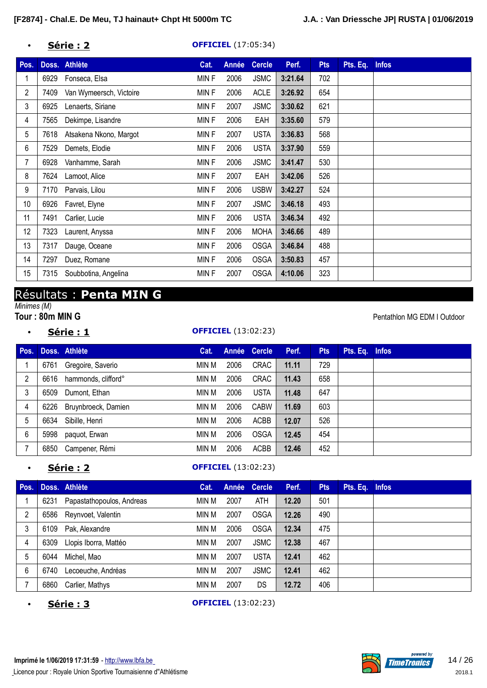### • **Série : 2 OFFICIEL** (17:05:34)

| Pos.           |      | Doss. Athlète           | Cat.        | Année | <b>Cercle</b> | Perf.   | <b>Pts</b> | Pts. Eq. | <b>Infos</b> |
|----------------|------|-------------------------|-------------|-------|---------------|---------|------------|----------|--------------|
| 1              | 6929 | Fonseca, Elsa           | <b>MINF</b> | 2006  | <b>JSMC</b>   | 3:21.64 | 702        |          |              |
| $\overline{2}$ | 7409 | Van Wymeersch, Victoire | <b>MINF</b> | 2006  | <b>ACLE</b>   | 3:26.92 | 654        |          |              |
| 3              | 6925 | Lenaerts, Siriane       | <b>MINF</b> | 2007  | <b>JSMC</b>   | 3:30.62 | 621        |          |              |
| 4              | 7565 | Dekimpe, Lisandre       | <b>MINF</b> | 2006  | EAH           | 3:35.60 | 579        |          |              |
| 5              | 7618 | Atsakena Nkono, Margot  | <b>MINF</b> | 2007  | <b>USTA</b>   | 3:36.83 | 568        |          |              |
| 6              | 7529 | Demets, Elodie          | <b>MINF</b> | 2006  | <b>USTA</b>   | 3:37.90 | 559        |          |              |
| 7              | 6928 | Vanhamme, Sarah         | <b>MINF</b> | 2006  | <b>JSMC</b>   | 3:41.47 | 530        |          |              |
| 8              | 7624 | Lamoot, Alice           | <b>MINF</b> | 2007  | EAH           | 3:42.06 | 526        |          |              |
| 9              | 7170 | Parvais, Lilou          | MINF        | 2006  | <b>USBW</b>   | 3:42.27 | 524        |          |              |
| 10             | 6926 | Favret, Elyne           | <b>MINF</b> | 2007  | <b>JSMC</b>   | 3:46.18 | 493        |          |              |
| 11             | 7491 | Carlier, Lucie          | MINF        | 2006  | <b>USTA</b>   | 3:46.34 | 492        |          |              |
| 12             | 7323 | Laurent, Anyssa         | MINF        | 2006  | <b>MOHA</b>   | 3:46.66 | 489        |          |              |
| 13             | 7317 | Dauge, Oceane           | <b>MINF</b> | 2006  | <b>OSGA</b>   | 3:46.84 | 488        |          |              |
| 14             | 7297 | Duez, Romane            | MINF        | 2006  | <b>OSGA</b>   | 3:50.83 | 457        |          |              |
| 15             | 7315 | Soubbotina, Angelina    | MINF        | 2007  | <b>OSGA</b>   | 4:10.06 | 323        |          |              |

# Résultats : **Penta MIN G**

*Minimes (M)*

### • **Série : 1 OFFICIEL** (13:02:23)

**Pentathlon MG EDM I Outdoor** 

| Pos.           |      | Doss. Athlète       | Cat.  |      | Année Cercle | Perf. | <b>Pts</b> | Pts. Eq. Infos |  |
|----------------|------|---------------------|-------|------|--------------|-------|------------|----------------|--|
|                | 6761 | Gregoire, Saverio   | MIN M | 2006 | <b>CRAC</b>  | 11.11 | 729        |                |  |
| $\overline{2}$ | 6616 | hammonds, clifford° | min M | 2006 | <b>CRAC</b>  | 11.43 | 658        |                |  |
| 3              | 6509 | Dumont, Ethan       | MIN M | 2006 | <b>USTA</b>  | 11.48 | 647        |                |  |
| 4              | 6226 | Bruynbroeck, Damien | min M | 2006 | <b>CABW</b>  | 11.69 | 603        |                |  |
| 5              | 6634 | Sibille, Henri      | MIN M | 2006 | <b>ACBB</b>  | 12.07 | 526        |                |  |
| 6              | 5998 | paquot, Erwan       | MIN M | 2006 | <b>OSGA</b>  | 12.45 | 454        |                |  |
|                | 6850 | Campener, Rémi      | MIN M | 2006 | ACBB         | 12.46 | 452        |                |  |

### • **Série : 2 OFFICIEL** (13:02:23)

| Pos. |      | Doss. Athlète             | Cat.  |      | Année Cercle | Perf. | Pts | Pts. Eq. Infos |  |
|------|------|---------------------------|-------|------|--------------|-------|-----|----------------|--|
|      | 6231 | Papastathopoulos, Andreas | min M | 2007 | <b>ATH</b>   | 12.20 | 501 |                |  |
| 2    | 6586 | Reynvoet, Valentin        | min M | 2007 | <b>OSGA</b>  | 12.26 | 490 |                |  |
| 3    | 6109 | Pak, Alexandre            | min M | 2006 | <b>OSGA</b>  | 12.34 | 475 |                |  |
| 4    | 6309 | Llopis Iborra, Mattéo     | min M | 2007 | <b>JSMC</b>  | 12.38 | 467 |                |  |
| 5    | 6044 | Michel, Mao               | min M | 2007 | <b>USTA</b>  | 12.41 | 462 |                |  |
| 6    | 6740 | Lecoeuche, Andréas        | min M | 2007 | <b>JSMC</b>  | 12.41 | 462 |                |  |
|      | 6860 | Carlier, Mathys           | MIN M | 2007 | DS           | 12.72 | 406 |                |  |

**Série : 3 OFFICIEL** (13:02:23)

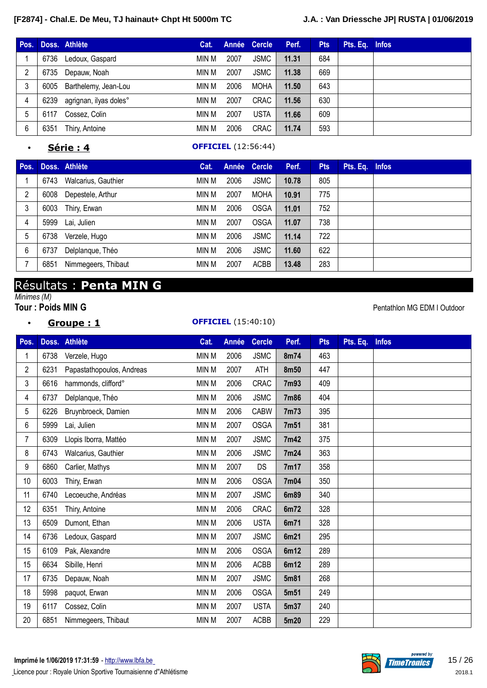| Pos. |      | Doss. Athlète          | Cat.  |      | Année Cercle | Perf. | <b>Pts</b> | Pts. Eq. Infos |  |
|------|------|------------------------|-------|------|--------------|-------|------------|----------------|--|
|      | 6736 | Ledoux, Gaspard        | MIN M | 2007 | <b>JSMC</b>  | 11.31 | 684        |                |  |
|      | 6735 | Depauw, Noah           | MIN M | 2007 | <b>JSMC</b>  | 11.38 | 669        |                |  |
|      | 6005 | Barthelemy, Jean-Lou   | min M | 2006 | <b>MOHA</b>  | 11.50 | 643        |                |  |
| 4    | 6239 | agrignan, ilyas doles° | min M | 2007 | <b>CRAC</b>  | 11.56 | 630        |                |  |
| 5    | 6117 | Cossez, Colin          | min M | 2007 | <b>USTA</b>  | 11.66 | 609        |                |  |
| 6    | 6351 | Thiry, Antoine         | MIN M | 2006 | <b>CRAC</b>  | 11.74 | 593        |                |  |

#### • **Série : 4 OFFICIEL** (12:56:44)

| Pos. |      | Doss. Athlète       | Cat.  |      | Année Cercle | Perf. | <b>Pts</b> | Pts. Eq. Infos |  |
|------|------|---------------------|-------|------|--------------|-------|------------|----------------|--|
|      | 6743 | Walcarius, Gauthier | min M | 2006 | <b>JSMC</b>  | 10.78 | 805        |                |  |
| 2    | 6008 | Depestele, Arthur   | min M | 2007 | <b>MOHA</b>  | 10.91 | 775        |                |  |
| 3    | 6003 | Thiry, Erwan        | min M | 2006 | <b>OSGA</b>  | 11.01 | 752        |                |  |
| 4    | 5999 | Lai, Julien         | min M | 2007 | <b>OSGA</b>  | 11.07 | 738        |                |  |
| 5    | 6738 | Verzele, Hugo       | min M | 2006 | <b>JSMC</b>  | 11.14 | 722        |                |  |
| 6    | 6737 | Delplanque, Théo    | min M | 2006 | <b>JSMC</b>  | 11.60 | 622        |                |  |
|      | 6851 | Nimmegeers, Thibaut | min M | 2007 | <b>ACBB</b>  | 13.48 | 283        |                |  |

# Résultats : **Penta MIN G**

• **Groupe : 1 OFFICIEL** (15:40:10)

# *Minimes (M)*<br>**Tour: Poids MIN G**

Pentathlon MG EDM I Outdoor

| Pos. |      | Doss. Athlète             | Cat.         | Année | <b>Cercle</b> | Perf. | <b>Pts</b> | Pts. Eq. | <b>Infos</b> |
|------|------|---------------------------|--------------|-------|---------------|-------|------------|----------|--------------|
| 1    | 6738 | Verzele, Hugo             | <b>MIN M</b> | 2006  | <b>JSMC</b>   | 8m74  | 463        |          |              |
| 2    | 6231 | Papastathopoulos, Andreas | MIN M        | 2007  | <b>ATH</b>    | 8m50  | 447        |          |              |
| 3    | 6616 | hammonds, clifford°       | MIN M        | 2006  | <b>CRAC</b>   | 7m93  | 409        |          |              |
| 4    | 6737 | Delplanque, Théo          | MIN M        | 2006  | <b>JSMC</b>   | 7m86  | 404        |          |              |
| 5    | 6226 | Bruynbroeck, Damien       | MIN M        | 2006  | <b>CABW</b>   | 7m73  | 395        |          |              |
| 6    | 5999 | Lai, Julien               | MIN M        | 2007  | <b>OSGA</b>   | 7m51  | 381        |          |              |
| 7    | 6309 | Llopis Iborra, Mattéo     | MIN M        | 2007  | <b>JSMC</b>   | 7m42  | 375        |          |              |
| 8    | 6743 | Walcarius, Gauthier       | MIN M        | 2006  | <b>JSMC</b>   | 7m24  | 363        |          |              |
| 9    | 6860 | Carlier, Mathys           | MIN M        | 2007  | DS            | 7m17  | 358        |          |              |
| 10   | 6003 | Thiry, Erwan              | MIN M        | 2006  | <b>OSGA</b>   | 7m04  | 350        |          |              |
| 11   | 6740 | Lecoeuche, Andréas        | MIN M        | 2007  | <b>JSMC</b>   | 6m89  | 340        |          |              |
| 12   | 6351 | Thiry, Antoine            | MIN M        | 2006  | CRAC          | 6m72  | 328        |          |              |
| 13   | 6509 | Dumont, Ethan             | MIN M        | 2006  | <b>USTA</b>   | 6m71  | 328        |          |              |
| 14   | 6736 | Ledoux, Gaspard           | MIN M        | 2007  | <b>JSMC</b>   | 6m21  | 295        |          |              |
| 15   | 6109 | Pak, Alexandre            | MIN M        | 2006  | <b>OSGA</b>   | 6m12  | 289        |          |              |
| 15   | 6634 | Sibille, Henri            | MIN M        | 2006  | ACBB          | 6m12  | 289        |          |              |
| 17   | 6735 | Depauw, Noah              | MIN M        | 2007  | <b>JSMC</b>   | 5m81  | 268        |          |              |
| 18   | 5998 | paquot, Erwan             | MIN M        | 2006  | <b>OSGA</b>   | 5m51  | 249        |          |              |
| 19   | 6117 | Cossez, Colin             | MIN M        | 2007  | <b>USTA</b>   | 5m37  | 240        |          |              |
| 20   | 6851 | Nimmegeers, Thibaut       | MIN M        | 2007  | <b>ACBB</b>   | 5m20  | 229        |          |              |

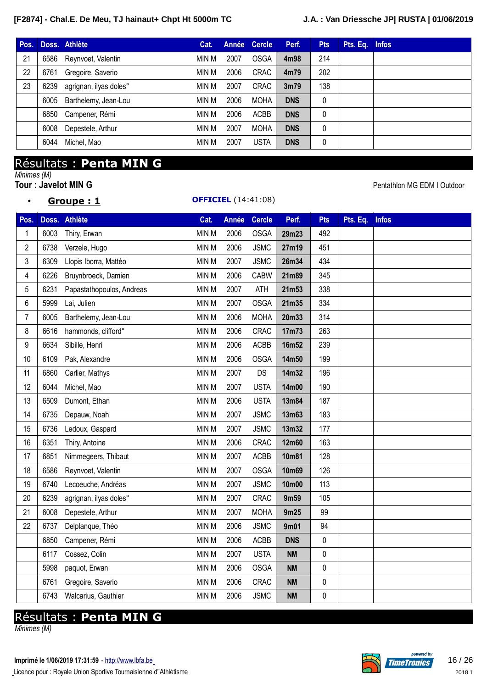|      |                      | Cat.                                                                                 |      |             | Perf.             | <b>Pts</b>   |                |
|------|----------------------|--------------------------------------------------------------------------------------|------|-------------|-------------------|--------------|----------------|
|      |                      | min M                                                                                | 2007 | <b>OSGA</b> | 4m98              | 214          |                |
| 6761 | Gregoire, Saverio    | min M                                                                                | 2006 | <b>CRAC</b> | 4m79              | 202          |                |
| 6239 |                      | min M                                                                                | 2007 | CRAC        | 3 <sub>m</sub> 79 | 138          |                |
| 6005 | Barthelemy, Jean-Lou | min M                                                                                | 2006 | <b>MOHA</b> | <b>DNS</b>        | $\mathbf{0}$ |                |
| 6850 |                      | min M                                                                                | 2006 | <b>ACBB</b> | <b>DNS</b>        | $\mathbf{0}$ |                |
| 6008 | Depestele, Arthur    | min M                                                                                | 2007 | <b>MOHA</b> | <b>DNS</b>        | 0            |                |
| 6044 | Michel, Mao          | min M                                                                                | 2007 | <b>USTA</b> | <b>DNS</b>        | 0            |                |
|      |                      | Doss. Athlète<br>6586 Reynvoet, Valentin<br>agrignan, ilyas doles°<br>Campener, Rémi |      |             | Année Cercle      |              | Pts. Eq. Infos |

### Résultats : **Penta MIN G**

*Minimes (M)*

**Tour : Javelot MIN G CONSULTER AND A PENTATION OF THE SET OF A PENTATION OF PENTATION MG EDM I Outdoor** 

#### • **Groupe : 1 OFFICIEL** (14:41:08)

**Pos. Doss. Athlète Cat. Année Cercle Perf. Pts Pts. Eq. Infos** 6003 Thiry, Erwan MIN M 2006 OSGA **29m23** 492 6738 Verzele, Hugo MIN M 2006 JSMC **27m19** 451 6309 Llopis Iborra, Mattéo MIN M 2007 JSMC **26m34** 434 6226 Bruynbroeck, Damien MIN M 2006 CABW **21m89** 345 6231 Papastathopoulos, Andreas MIN M 2007 ATH **21m53** 338 5999 Lai, Julien MIN M 2007 OSGA **21m35** 334 6005 Barthelemy, Jean-Lou MIN M 2006 MOHA **20m33** 314 6616 hammonds, clifford° MIN M 2006 CRAC **17m73** 263 6634 Sibille, Henri MIN M 2006 ACBB **16m52** 239 6109 Pak, Alexandre MIN M 2006 OSGA **14m50** 199 6860 Carlier, Mathys MIN M 2007 DS **14m32** 196 6044 Michel, Mao MIN M 2007 USTA **14m00** 190 6509 Dumont, Ethan MIN M 2006 USTA **13m84** 187 6735 Depauw, Noah MIN M 2007 JSMC **13m63** 183 6736 Ledoux, Gaspard MIN M 2007 JSMC **13m32** 177 6351 Thiry, Antoine MIN M 2006 CRAC **12m60** 163 6851 Nimmegeers, Thibaut MIN M 2007 ACBB **10m81** 128 6586 Reynvoet, Valentin MIN M 2007 OSGA **10m69** 126 6740 Lecoeuche, Andréas MIN M 2007 JSMC **10m00** 113 6239 agrignan, ilyas doles° MIN M 2007 CRAC **9m59** 105 21 6008 Depestele, Arthur MIN M 2007 MOHA 9m25 99 6737 Delplanque, Théo MIN M 2006 JSMC **9m01** 94 Campener, Rémi MIN M 2006 ACBB **DNS** 0 Cossez, Colin MIN M 2007 USTA **NM** 0 paquot, Erwan MIN M 2006 OSGA **NM** 0 Gregoire, Saverio MIN M 2006 CRAC **NM** 0 6743 Walcarius, Gauthier **MIN M 2006** JSMC **NM 0** 

# Résultats : **Penta MIN G**

*Minimes (M)*

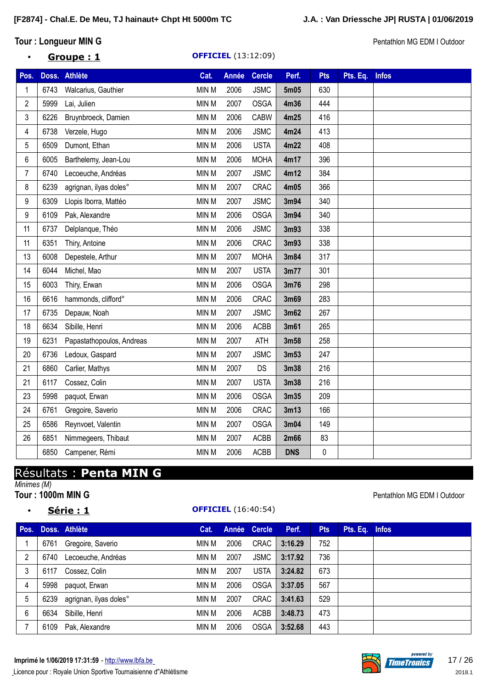### **Tour** : Longueur MIN G<br> **Tour** : Longueur MIN G

### • **Groupe : 1 OFFICIEL** (13:12:09)

| Pos. |      | Doss. Athlète             | Cat.         | <b>Année</b> | <b>Cercle</b> | Perf.      | <b>Pts</b> | Pts. Eq. | <b>Infos</b> |
|------|------|---------------------------|--------------|--------------|---------------|------------|------------|----------|--------------|
| 1    | 6743 | Walcarius, Gauthier       | MIN M        | 2006         | <b>JSMC</b>   | 5m05       | 630        |          |              |
| 2    | 5999 | Lai, Julien               | <b>MIN M</b> | 2007         | <b>OSGA</b>   | 4m36       | 444        |          |              |
| 3    | 6226 | Bruynbroeck, Damien       | MIN M        | 2006         | <b>CABW</b>   | 4m25       | 416        |          |              |
| 4    | 6738 | Verzele, Hugo             | <b>MIN M</b> | 2006         | <b>JSMC</b>   | 4m24       | 413        |          |              |
| 5    | 6509 | Dumont, Ethan             | MIN M        | 2006         | <b>USTA</b>   | 4m22       | 408        |          |              |
| 6    | 6005 | Barthelemy, Jean-Lou      | MIN M        | 2006         | <b>MOHA</b>   | 4m17       | 396        |          |              |
| 7    | 6740 | Lecoeuche, Andréas        | MIN M        | 2007         | <b>JSMC</b>   | 4m12       | 384        |          |              |
| 8    | 6239 | agrignan, ilyas doles°    | MIN M        | 2007         | CRAC          | 4m05       | 366        |          |              |
| 9    | 6309 | Llopis Iborra, Mattéo     | MIN M        | 2007         | <b>JSMC</b>   | 3m94       | 340        |          |              |
| 9    | 6109 | Pak, Alexandre            | MIN M        | 2006         | <b>OSGA</b>   | 3m94       | 340        |          |              |
| 11   | 6737 | Delplanque, Théo          | MIN M        | 2006         | <b>JSMC</b>   | 3m93       | 338        |          |              |
| 11   | 6351 | Thiry, Antoine            | MIN M        | 2006         | CRAC          | 3m93       | 338        |          |              |
| 13   | 6008 | Depestele, Arthur         | MIN M        | 2007         | <b>MOHA</b>   | 3m84       | 317        |          |              |
| 14   | 6044 | Michel, Mao               | MIN M        | 2007         | <b>USTA</b>   | 3m77       | 301        |          |              |
| 15   | 6003 | Thiry, Erwan              | MIN M        | 2006         | <b>OSGA</b>   | 3m76       | 298        |          |              |
| 16   | 6616 | hammonds, clifford°       | MIN M        | 2006         | CRAC          | 3m69       | 283        |          |              |
| 17   | 6735 | Depauw, Noah              | MIN M        | 2007         | <b>JSMC</b>   | 3m62       | 267        |          |              |
| 18   | 6634 | Sibille, Henri            | MIN M        | 2006         | <b>ACBB</b>   | 3m61       | 265        |          |              |
| 19   | 6231 | Papastathopoulos, Andreas | MIN M        | 2007         | <b>ATH</b>    | 3m58       | 258        |          |              |
| 20   | 6736 | Ledoux, Gaspard           | MIN M        | 2007         | <b>JSMC</b>   | 3m53       | 247        |          |              |
| 21   | 6860 | Carlier, Mathys           | MIN M        | 2007         | DS            | 3m38       | 216        |          |              |
| 21   | 6117 | Cossez, Colin             | MIN M        | 2007         | <b>USTA</b>   | 3m38       | 216        |          |              |
| 23   | 5998 | paquot, Erwan             | MIN M        | 2006         | <b>OSGA</b>   | 3m35       | 209        |          |              |
| 24   | 6761 | Gregoire, Saverio         | MIN M        | 2006         | CRAC          | 3m13       | 166        |          |              |
| 25   | 6586 | Reynvoet, Valentin        | MIN M        | 2007         | <b>OSGA</b>   | 3m04       | 149        |          |              |
| 26   | 6851 | Nimmegeers, Thibaut       | MIN M        | 2007         | ACBB          | 2m66       | 83         |          |              |
|      | 6850 | Campener, Rémi            | MIN M        | 2006         | <b>ACBB</b>   | <b>DNS</b> | 0          |          |              |

# Résultats : **Penta MIN G**

*Minimes (M)*

#### • **Série : 1 OFFICIEL** (16:40:54)

#### **Pentathlon MG EDM I Outdoor**

| Pos. |      | Doss. Athlète          | Cat.  |      | Année Cercle | Perf.   | <b>Pts</b> | Pts. Eq. Infos |  |
|------|------|------------------------|-------|------|--------------|---------|------------|----------------|--|
|      | 6761 | Gregoire, Saverio      | min M | 2006 | <b>CRAC</b>  | 3:16.29 | 752        |                |  |
| 2    | 6740 | Lecoeuche, Andréas     | MIN M | 2007 | <b>JSMC</b>  | 3:17.92 | 736        |                |  |
| 3    | 6117 | Cossez, Colin          | MIN M | 2007 | <b>USTA</b>  | 3:24.82 | 673        |                |  |
| 4    | 5998 | paquot, Erwan          | MIN M | 2006 | <b>OSGA</b>  | 3:37.05 | 567        |                |  |
| 5    | 6239 | agrignan, ilyas doles° | MIN M | 2007 | <b>CRAC</b>  | 3:41.63 | 529        |                |  |
| 6    | 6634 | Sibille, Henri         | MIN M | 2006 | <b>ACBB</b>  | 3:48.73 | 473        |                |  |
|      | 6109 | Pak, Alexandre         | MIN M | 2006 | <b>OSGA</b>  | 3:52.68 | 443        |                |  |

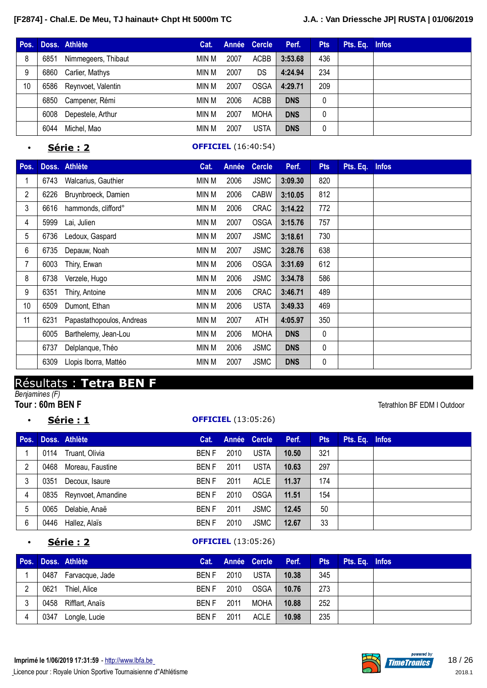| Pos. |      | Doss. Athlète           | Cat.  |      | Année Cercle | Perf.      | <b>Pts</b> | Pts. Eq. Infos |  |
|------|------|-------------------------|-------|------|--------------|------------|------------|----------------|--|
| 8    | 6851 | Nimmegeers, Thibaut     | MIN M | 2007 | <b>ACBB</b>  | 3:53.68    | 436        |                |  |
| 9    | 6860 | Carlier, Mathys         | min M | 2007 | DS           | 4:24.94    | 234        |                |  |
| 10   |      | 6586 Reynvoet, Valentin | MIN M | 2007 | <b>OSGA</b>  | 4:29.71    | 209        |                |  |
|      |      | 6850 Campener, Rémi     | MIN M | 2006 | <b>ACBB</b>  | <b>DNS</b> | 0          |                |  |
|      | 6008 | Depestele, Arthur       | MIN M | 2007 | <b>MOHA</b>  | <b>DNS</b> | 0          |                |  |
|      | 6044 | Michel, Mao             | MIN M | 2007 | <b>USTA</b>  | <b>DNS</b> | 0          |                |  |

#### • **Série : 2 OFFICIEL** (16:40:54)

| Pos.           |      | Doss. Athlète             | Cat.  | Année | <b>Cercle</b> | Perf.      | <b>Pts</b> | Pts. Eq. | <b>Infos</b> |
|----------------|------|---------------------------|-------|-------|---------------|------------|------------|----------|--------------|
|                | 6743 | Walcarius, Gauthier       | MIN M | 2006  | <b>JSMC</b>   | 3:09.30    | 820        |          |              |
| $\overline{2}$ | 6226 | Bruynbroeck, Damien       | MIN M | 2006  | <b>CABW</b>   | 3:10.05    | 812        |          |              |
| 3              | 6616 | hammonds, clifford°       | MIN M | 2006  | <b>CRAC</b>   | 3:14.22    | 772        |          |              |
| 4              | 5999 | Lai, Julien               | MIN M | 2007  | <b>OSGA</b>   | 3:15.76    | 757        |          |              |
| 5              | 6736 | Ledoux, Gaspard           | MIN M | 2007  | <b>JSMC</b>   | 3:18.61    | 730        |          |              |
| 6              | 6735 | Depauw, Noah              | MIN M | 2007  | <b>JSMC</b>   | 3:28.76    | 638        |          |              |
| 7              | 6003 | Thiry, Erwan              | MIN M | 2006  | <b>OSGA</b>   | 3:31.69    | 612        |          |              |
| 8              | 6738 | Verzele, Hugo             | MIN M | 2006  | <b>JSMC</b>   | 3:34.78    | 586        |          |              |
| 9              | 6351 | Thiry, Antoine            | MIN M | 2006  | <b>CRAC</b>   | 3:46.71    | 489        |          |              |
| 10             | 6509 | Dumont, Ethan             | MIN M | 2006  | <b>USTA</b>   | 3:49.33    | 469        |          |              |
| 11             | 6231 | Papastathopoulos, Andreas | MIN M | 2007  | ATH           | 4:05.97    | 350        |          |              |
|                | 6005 | Barthelemy, Jean-Lou      | MIN M | 2006  | <b>MOHA</b>   | <b>DNS</b> | 0          |          |              |
|                | 6737 | Delplanque, Théo          | MIN M | 2006  | <b>JSMC</b>   | <b>DNS</b> | 0          |          |              |
|                | 6309 | Llopis Iborra, Mattéo     | MIN M | 2007  | <b>JSMC</b>   | <b>DNS</b> | 0          |          |              |

# Résultats : **Tetra BEN F**

*Benjamines (F)* **Tour** : 60m BEN F Tetrathlon BF EDM I Outdoor

### • **Série : 1 OFFICIEL** (13:05:26)

**Pos. Doss. Athlète Cat. Année Cercle Perf. Pts Pts. Eq. Infos** 0114 Truant, Olivia BEN F 2010 USTA **10.50** 321 0468 Moreau, Faustine BEN F 2011 USTA **10.63** 297 0351 Decoux, Isaure BEN F 2011 ACLE **11.37** 174 0835 Reynvoet, Amandine BEN F 2010 OSGA **11.51** 154 0065 Delabie, Anaë BEN F 2011 JSMC **12.45** 50 0446 Hallez, Alaïs BEN F 2010 JSMC **12.67** 33

### • **Série : 2 OFFICIEL** (13:05:26)

| Pos. |      | Doss. Athlète   |              |      | Cat. Année Cercle | Perf. | <b>Pts</b> | Pts. Eq. Infos |  |
|------|------|-----------------|--------------|------|-------------------|-------|------------|----------------|--|
|      | 0487 | Farvacque, Jade | <b>BENF</b>  | 2010 | <b>USTA</b>       | 10.38 | 345        |                |  |
| റ    | 0621 | Thiel, Alice    | <b>BENF</b>  | 2010 | OSGA              | 10.76 | 273        |                |  |
| 3    | 0458 | Rifflart, Anaïs | <b>BEN F</b> | 2011 | MOHA              | 10.88 | 252        |                |  |
|      | 0347 | Longle, Lucie   | BEN F        | 2011 | ACLE              | 10.98 | 235        |                |  |

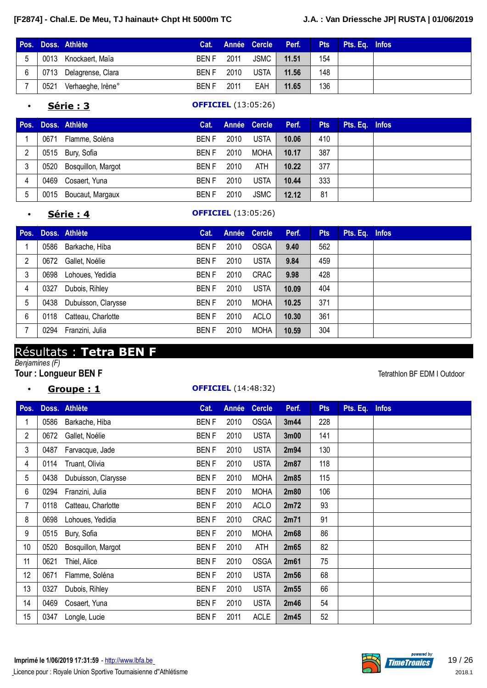|   |      | Pos. Doss. Athlète     |             |      |      | Cat. Année Cercle Perf. | <b>Pts</b> | Pts. Eq. Infos |  |
|---|------|------------------------|-------------|------|------|-------------------------|------------|----------------|--|
|   |      | 0013 Knockaert, Maïa   | BEN F       | 2011 | JSMC | 11.51                   | 154        |                |  |
| 6 |      | 0713 Delagrense, Clara | BEN F       | 2010 | USTA | 11.56                   | 148        |                |  |
|   | 0521 | Verhaeghe, Irène°      | <b>BENF</b> | 2011 | EAH  | 11.65                   | 136        |                |  |

### • **Série : 3 OFFICIEL** (13:05:26)

| Pos. |      | Doss. Athlète           | Cat.        |      | Année Cercle | Perf. | <b>Pts</b> | Pts. Eq. Infos |  |
|------|------|-------------------------|-------------|------|--------------|-------|------------|----------------|--|
|      | 0671 | Flamme, Soléna          | <b>BENF</b> | 2010 | <b>USTA</b>  | 10.06 | 410        |                |  |
| 2    |      | 0515 Bury, Sofia        | <b>BENF</b> | 2010 | MOHA         | 10.17 | 387        |                |  |
| 3    |      | 0520 Bosquillon, Margot | <b>BENF</b> | 2010 | ATH          | 10.22 | 377        |                |  |
| 4    | 0469 | Cosaert, Yuna           | <b>BENF</b> | 2010 | <b>USTA</b>  | 10.44 | 333        |                |  |
| 5    |      | 0015 Boucaut, Margaux   | <b>BENF</b> | 2010 | <b>JSMC</b>  | 12.12 | 81         |                |  |

#### • **Série : 4 OFFICIEL** (13:05:26)

| Pos. |      | Doss. Athlète       | Cat.        |      | Année Cercle | Perf. | <b>Pts</b> | Pts. Eq. Infos |  |
|------|------|---------------------|-------------|------|--------------|-------|------------|----------------|--|
|      | 0586 | Barkache, Hiba      | <b>BENF</b> | 2010 | <b>OSGA</b>  | 9.40  | 562        |                |  |
| 2    | 0672 | Gallet, Noélie      | <b>BENF</b> | 2010 | <b>USTA</b>  | 9.84  | 459        |                |  |
| 3    | 0698 | Lohoues, Yedidia    | <b>BENF</b> | 2010 | <b>CRAC</b>  | 9.98  | 428        |                |  |
| 4    | 0327 | Dubois, Rihley      | <b>BENF</b> | 2010 | <b>USTA</b>  | 10.09 | 404        |                |  |
| 5    | 0438 | Dubuisson, Clarysse | <b>BENF</b> | 2010 | <b>MOHA</b>  | 10.25 | 371        |                |  |
| 6    | 0118 | Catteau, Charlotte  | <b>BENF</b> | 2010 | <b>ACLO</b>  | 10.30 | 361        |                |  |
|      | 0294 | Franzini, Julia     | <b>BENF</b> | 2010 | <b>MOHA</b>  | 10.59 | 304        |                |  |

## Résultats : **Tetra BEN F**

*Benjamines (F)*

### **Tour** : Longueur BEN F **Tetrathlon BF EDM I Outdoor**

### • **Groupe : 1 OFFICIEL** (14:48:32)

| Pos.           |      | Doss. Athlète       | Cat.        | Année | <b>Cercle</b> | Perf.             | <b>Pts</b> | Pts. Eq. | <b>Infos</b> |
|----------------|------|---------------------|-------------|-------|---------------|-------------------|------------|----------|--------------|
|                | 0586 | Barkache, Hiba      | <b>BENF</b> | 2010  | <b>OSGA</b>   | 3m44              | 228        |          |              |
| $\overline{2}$ | 0672 | Gallet, Noélie      | <b>BENF</b> | 2010  | <b>USTA</b>   | 3 <sub>m</sub> 00 | 141        |          |              |
| 3              | 0487 | Farvacque, Jade     | <b>BENF</b> | 2010  | <b>USTA</b>   | 2m94              | 130        |          |              |
| 4              | 0114 | Truant, Olivia      | <b>BENF</b> | 2010  | <b>USTA</b>   | 2m87              | 118        |          |              |
| 5              | 0438 | Dubuisson, Clarysse | <b>BENF</b> | 2010  | <b>MOHA</b>   | 2m85              | 115        |          |              |
| 6              | 0294 | Franzini, Julia     | <b>BENF</b> | 2010  | <b>MOHA</b>   | 2m80              | 106        |          |              |
| 7              | 0118 | Catteau, Charlotte  | <b>BENF</b> | 2010  | <b>ACLO</b>   | 2m72              | 93         |          |              |
| 8              | 0698 | Lohoues, Yedidia    | <b>BENF</b> | 2010  | <b>CRAC</b>   | 2m71              | 91         |          |              |
| 9              | 0515 | Bury, Sofia         | <b>BENF</b> | 2010  | <b>MOHA</b>   | 2m68              | 86         |          |              |
| 10             | 0520 | Bosquillon, Margot  | <b>BENF</b> | 2010  | ATH           | 2m65              | 82         |          |              |
| 11             | 0621 | Thiel, Alice        | <b>BENF</b> | 2010  | <b>OSGA</b>   | 2m61              | 75         |          |              |
| 12             | 0671 | Flamme, Soléna      | <b>BENF</b> | 2010  | <b>USTA</b>   | 2m56              | 68         |          |              |
| 13             | 0327 | Dubois, Rihley      | <b>BENF</b> | 2010  | <b>USTA</b>   | 2m55              | 66         |          |              |
| 14             | 0469 | Cosaert, Yuna       | <b>BENF</b> | 2010  | <b>USTA</b>   | 2m46              | 54         |          |              |
| 15             | 0347 | Longle, Lucie       | <b>BENF</b> | 2011  | <b>ACLE</b>   | 2m45              | 52         |          |              |

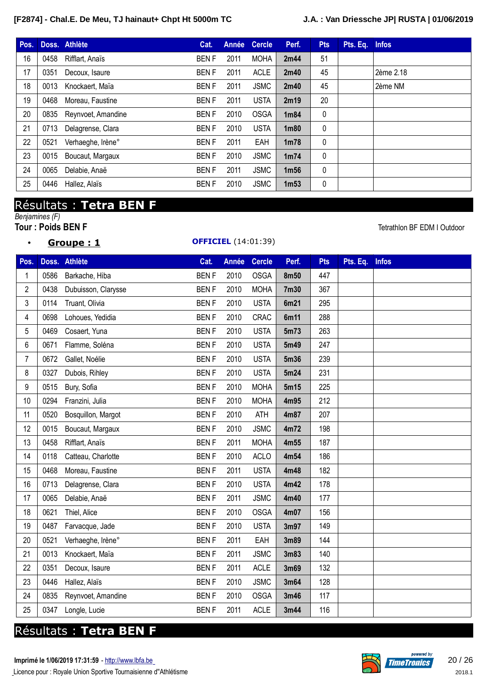| Pos. |      | Doss. Athlète      | Cat.        | Année | <b>Cercle</b> | Perf.             | <b>Pts</b>   | Pts. Eq. | <b>Infos</b> |
|------|------|--------------------|-------------|-------|---------------|-------------------|--------------|----------|--------------|
| 16   | 0458 | Rifflart, Anaïs    | <b>BENF</b> | 2011  | <b>MOHA</b>   | 2m44              | 51           |          |              |
| 17   | 0351 | Decoux, Isaure     | <b>BENF</b> | 2011  | <b>ACLE</b>   | 2m40              | 45           |          | 2ème 2.18    |
| 18   | 0013 | Knockaert, Maïa    | <b>BENF</b> | 2011  | <b>JSMC</b>   | 2m40              | 45           |          | 2ème NM      |
| 19   | 0468 | Moreau, Faustine   | <b>BENF</b> | 2011  | <b>USTA</b>   | 2m19              | 20           |          |              |
| 20   | 0835 | Reynvoet, Amandine | <b>BENF</b> | 2010  | <b>OSGA</b>   | 1m84              | $\mathbf{0}$ |          |              |
| 21   | 0713 | Delagrense, Clara  | <b>BENF</b> | 2010  | <b>USTA</b>   | 1 <sub>m80</sub>  | $\mathbf{0}$ |          |              |
| 22   | 0521 | Verhaeghe, Irène°  | <b>BENF</b> | 2011  | EAH           | 1 <sub>m</sub> 78 | $\mathbf{0}$ |          |              |
| 23   | 0015 | Boucaut, Margaux   | <b>BENF</b> | 2010  | <b>JSMC</b>   | 1 <sub>m</sub> 74 | 0            |          |              |
| 24   | 0065 | Delabie, Anaë      | <b>BENF</b> | 2011  | <b>JSMC</b>   | 1 <sub>m56</sub>  | $\mathbf{0}$ |          |              |
| 25   | 0446 | Hallez, Alaïs      | <b>BENF</b> | 2010  | <b>JSMC</b>   | 1 <sub>m53</sub>  | 0            |          |              |

# Résultats : **Tetra BEN F**

*Benjamines (F)*

|  |  |  | Groupe : 1 |  |
|--|--|--|------------|--|
|  |  |  |            |  |

### **OFFICIEL** (14:01:39)

**Tetrathlon BF EDM I Outdoor** 

| Pos. |      | Doss. Athlète       | Cat.        | Année | Cercle      | Perf. | <b>Pts</b> | Pts. Eq. | <b>Infos</b> |
|------|------|---------------------|-------------|-------|-------------|-------|------------|----------|--------------|
| 1    | 0586 | Barkache, Hiba      | <b>BENF</b> | 2010  | <b>OSGA</b> | 8m50  | 447        |          |              |
| 2    | 0438 | Dubuisson, Clarysse | <b>BENF</b> | 2010  | <b>MOHA</b> | 7m30  | 367        |          |              |
| 3    | 0114 | Truant, Olivia      | <b>BENF</b> | 2010  | <b>USTA</b> | 6m21  | 295        |          |              |
| 4    | 0698 | Lohoues, Yedidia    | <b>BENF</b> | 2010  | <b>CRAC</b> | 6m11  | 288        |          |              |
| 5    | 0469 | Cosaert, Yuna       | <b>BENF</b> | 2010  | <b>USTA</b> | 5m73  | 263        |          |              |
| 6    | 0671 | Flamme, Soléna      | <b>BENF</b> | 2010  | <b>USTA</b> | 5m49  | 247        |          |              |
| 7    | 0672 | Gallet, Noélie      | <b>BENF</b> | 2010  | <b>USTA</b> | 5m36  | 239        |          |              |
| 8    | 0327 | Dubois, Rihley      | <b>BENF</b> | 2010  | <b>USTA</b> | 5m24  | 231        |          |              |
| 9    | 0515 | Bury, Sofia         | <b>BENF</b> | 2010  | <b>MOHA</b> | 5m15  | 225        |          |              |
| 10   | 0294 | Franzini, Julia     | <b>BENF</b> | 2010  | <b>MOHA</b> | 4m95  | 212        |          |              |
| 11   | 0520 | Bosquillon, Margot  | <b>BENF</b> | 2010  | <b>ATH</b>  | 4m87  | 207        |          |              |
| 12   | 0015 | Boucaut, Margaux    | <b>BENF</b> | 2010  | <b>JSMC</b> | 4m72  | 198        |          |              |
| 13   | 0458 | Rifflart, Anaïs     | <b>BENF</b> | 2011  | <b>MOHA</b> | 4m55  | 187        |          |              |
| 14   | 0118 | Catteau, Charlotte  | <b>BENF</b> | 2010  | <b>ACLO</b> | 4m54  | 186        |          |              |
| 15   | 0468 | Moreau, Faustine    | <b>BENF</b> | 2011  | <b>USTA</b> | 4m48  | 182        |          |              |
| 16   | 0713 | Delagrense, Clara   | <b>BENF</b> | 2010  | <b>USTA</b> | 4m42  | 178        |          |              |
| 17   | 0065 | Delabie, Anaë       | <b>BENF</b> | 2011  | <b>JSMC</b> | 4m40  | 177        |          |              |
| 18   | 0621 | Thiel, Alice        | <b>BENF</b> | 2010  | <b>OSGA</b> | 4m07  | 156        |          |              |
| 19   | 0487 | Farvacque, Jade     | <b>BENF</b> | 2010  | <b>USTA</b> | 3m97  | 149        |          |              |
| 20   | 0521 | Verhaeghe, Irène°   | <b>BENF</b> | 2011  | EAH         | 3m89  | 144        |          |              |
| 21   | 0013 | Knockaert, Maïa     | <b>BENF</b> | 2011  | <b>JSMC</b> | 3m83  | 140        |          |              |
| 22   | 0351 | Decoux, Isaure      | <b>BENF</b> | 2011  | <b>ACLE</b> | 3m69  | 132        |          |              |
| 23   | 0446 | Hallez, Alaïs       | <b>BENF</b> | 2010  | <b>JSMC</b> | 3m64  | 128        |          |              |
| 24   | 0835 | Reynvoet, Amandine  | <b>BENF</b> | 2010  | <b>OSGA</b> | 3m46  | 117        |          |              |
| 25   | 0347 | Longle, Lucie       | <b>BENF</b> | 2011  | <b>ACLE</b> | 3m44  | 116        |          |              |

# Résultats : **Tetra BEN F**

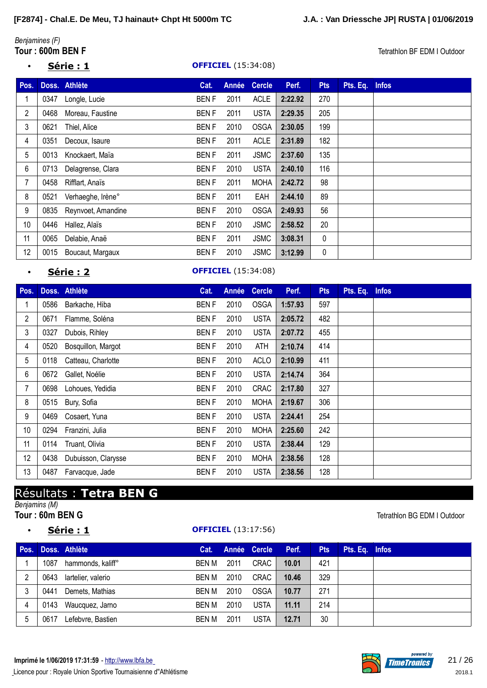# *Benjamines (F)*

### • **Série : 1 OFFICIEL** (15:34:08)

**Tetrathlon BF EDM I Outdoor** 

| Pos. |      | Doss. Athlète      | Cat.        | Année | <b>Cercle</b> | Perf.   | <b>Pts</b>  | Pts. Eq. | <b>Infos</b> |
|------|------|--------------------|-------------|-------|---------------|---------|-------------|----------|--------------|
| 1    | 0347 | Longle, Lucie      | <b>BENF</b> | 2011  | <b>ACLE</b>   | 2:22.92 | 270         |          |              |
| 2    | 0468 | Moreau, Faustine   | <b>BENF</b> | 2011  | <b>USTA</b>   | 2:29.35 | 205         |          |              |
| 3    | 0621 | Thiel, Alice       | <b>BENF</b> | 2010  | <b>OSGA</b>   | 2:30.05 | 199         |          |              |
| 4    | 0351 | Decoux, Isaure     | <b>BENF</b> | 2011  | <b>ACLE</b>   | 2:31.89 | 182         |          |              |
| 5    | 0013 | Knockaert, Maïa    | <b>BENF</b> | 2011  | <b>JSMC</b>   | 2:37.60 | 135         |          |              |
| 6    | 0713 | Delagrense, Clara  | <b>BENF</b> | 2010  | <b>USTA</b>   | 2:40.10 | 116         |          |              |
| 7    | 0458 | Rifflart, Anaïs    | <b>BENF</b> | 2011  | <b>MOHA</b>   | 2:42.72 | 98          |          |              |
| 8    | 0521 | Verhaeghe, Irène°  | <b>BENF</b> | 2011  | EAH           | 2:44.10 | 89          |          |              |
| 9    | 0835 | Reynvoet, Amandine | <b>BENF</b> | 2010  | <b>OSGA</b>   | 2:49.93 | 56          |          |              |
| 10   | 0446 | Hallez, Alaïs      | <b>BENF</b> | 2010  | <b>JSMC</b>   | 2:58.52 | 20          |          |              |
| 11   | 0065 | Delabie, Anaë      | <b>BENF</b> | 2011  | <b>JSMC</b>   | 3:08.31 | $\mathbf 0$ |          |              |
| 12   | 0015 | Boucaut, Margaux   | <b>BENF</b> | 2010  | <b>JSMC</b>   | 3:12.99 | $\mathbf 0$ |          |              |

### **Série : 2 OFFICIEL** (15:34:08)

| Pos.           |      | Doss. Athlète       | Cat.        | Année | <b>Cercle</b> | Perf.   | <b>Pts</b> | Pts. Eq. | <b>Infos</b> |
|----------------|------|---------------------|-------------|-------|---------------|---------|------------|----------|--------------|
|                | 0586 | Barkache, Hiba      | <b>BENF</b> | 2010  | <b>OSGA</b>   | 1:57.93 | 597        |          |              |
| $\overline{2}$ | 0671 | Flamme, Soléna      | <b>BENF</b> | 2010  | <b>USTA</b>   | 2:05.72 | 482        |          |              |
| 3              | 0327 | Dubois, Rihley      | <b>BENF</b> | 2010  | <b>USTA</b>   | 2:07.72 | 455        |          |              |
| 4              | 0520 | Bosquillon, Margot  | <b>BENF</b> | 2010  | ATH           | 2:10.74 | 414        |          |              |
| 5              | 0118 | Catteau, Charlotte  | <b>BENF</b> | 2010  | <b>ACLO</b>   | 2:10.99 | 411        |          |              |
| 6              | 0672 | Gallet, Noélie      | <b>BENF</b> | 2010  | <b>USTA</b>   | 2:14.74 | 364        |          |              |
| 7              | 0698 | Lohoues, Yedidia    | <b>BENF</b> | 2010  | <b>CRAC</b>   | 2:17.80 | 327        |          |              |
| 8              | 0515 | Bury, Sofia         | <b>BENF</b> | 2010  | <b>MOHA</b>   | 2:19.67 | 306        |          |              |
| 9              | 0469 | Cosaert, Yuna       | <b>BENF</b> | 2010  | <b>USTA</b>   | 2:24.41 | 254        |          |              |
| 10             | 0294 | Franzini, Julia     | <b>BENF</b> | 2010  | <b>MOHA</b>   | 2:25.60 | 242        |          |              |
| 11             | 0114 | Truant, Olivia      | <b>BENF</b> | 2010  | <b>USTA</b>   | 2:38.44 | 129        |          |              |
| 12             | 0438 | Dubuisson, Clarysse | <b>BENF</b> | 2010  | <b>MOHA</b>   | 2:38.56 | 128        |          |              |
| 13             | 0487 | Farvacque, Jade     | <b>BENF</b> | 2010  | <b>USTA</b>   | 2:38.56 | 128        |          |              |

# Résultats : **Tetra BEN G**

*Benjamins (M)*

### • **Série : 1 OFFICIEL** (13:17:56)

### **Tour** : 60m BEN G Tetrathlon BG EDM I Outdoor

| Pos. |      | Doss. Athlète      | Cat.  |      | Année Cercle | Perf. | <b>Pts</b> | Pts. Eq. Infos |  |
|------|------|--------------------|-------|------|--------------|-------|------------|----------------|--|
|      | 1087 | hammonds, kaliff°  | BEN M | 2011 | CRAC         | 10.01 | 421        |                |  |
| 2    | 0643 | lartelier, valerio | BEN M | 2010 | CRAC         | 10.46 | 329        |                |  |
|      | 0441 | Demets, Mathias    | BEN M | 2010 | <b>OSGA</b>  | 10.77 | 271        |                |  |
| 4    | 0143 | Waucquez, Jarno    | BEN M | 2010 | <b>USTA</b>  | 11.11 | 214        |                |  |
| 5    | 0617 | Lefebvre, Bastien  | BEN M | 2011 | <b>USTA</b>  | 12.71 | 30         |                |  |

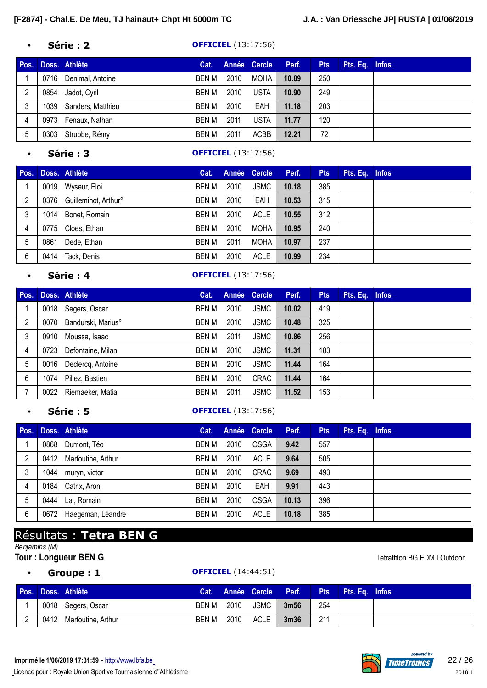#### • **Série : 2 OFFICIEL** (13:17:56)

| Pos. |      | Doss. Athlète     | Cat.  |      | Année Cercle | Perf. | <b>Pts</b> | Pts. Eq. Infos |  |
|------|------|-------------------|-------|------|--------------|-------|------------|----------------|--|
|      | 0716 | Denimal, Antoine  | BEN M | 2010 | MOHA         | 10.89 | 250        |                |  |
| 2    | 0854 | Jadot, Cyril      | BEN M | 2010 | <b>USTA</b>  | 10.90 | 249        |                |  |
|      | 1039 | Sanders, Matthieu | BEN M | 2010 | EAH          | 11.18 | 203        |                |  |
| 4    | 0973 | Fenaux, Nathan    | BEN M | 2011 | USTA         | 11.77 | 120        |                |  |
| 5    | 0303 | Strubbe, Rémy     | BEN M | 2011 | ACBB         | 12.21 | 72         |                |  |

### • **Série : 3 OFFICIEL** (13:17:56)

| Pos. |      | Doss. Athlète             | Cat.  |      | Année Cercle | Perf. | <b>Pts</b> | Pts. Eq. Infos |  |
|------|------|---------------------------|-------|------|--------------|-------|------------|----------------|--|
|      |      | 0019 Wyseur, Eloi         | BEN M | 2010 | JSMC         | 10.18 | 385        |                |  |
| 2    |      | 0376 Guilleminot, Arthur° | BEN M | 2010 | EAH          | 10.53 | 315        |                |  |
| 3    | 1014 | Bonet, Romain             | BEN M | 2010 | <b>ACLE</b>  | 10.55 | 312        |                |  |
| 4    |      | 0775 Cloes, Ethan         | BEN M | 2010 | MOHA         | 10.95 | 240        |                |  |
| 5    | 0861 | Dede, Ethan               | BEN M | 2011 | <b>MOHA</b>  | 10.97 | 237        |                |  |
| 6    | 0414 | Tack, Denis               | BEN M | 2010 | <b>ACLE</b>  | 10.99 | 234        |                |  |

#### • **Série : 4 OFFICIEL** (13:17:56)

| Pos. |      | Doss. Athlète          | Cat.  |      | Année Cercle | Perf. | <b>Pts</b> | Pts. Eq. Infos |  |
|------|------|------------------------|-------|------|--------------|-------|------------|----------------|--|
|      |      | 0018 Segers, Oscar     | BEN M | 2010 | <b>JSMC</b>  | 10.02 | 419        |                |  |
| 2    | 0070 | Bandurski, Marius°     | BEN M | 2010 | <b>JSMC</b>  | 10.48 | 325        |                |  |
| 3    | 0910 | Moussa, Isaac          | BEN M | 2011 | <b>JSMC</b>  | 10.86 | 256        |                |  |
| 4    | 0723 | Defontaine, Milan      | BEN M | 2010 | <b>JSMC</b>  | 11.31 | 183        |                |  |
| 5    |      | 0016 Declercq, Antoine | BEN M | 2010 | <b>JSMC</b>  | 11.44 | 164        |                |  |
| 6    | 1074 | Pillez, Bastien        | BEN M | 2010 | <b>CRAC</b>  | 11.44 | 164        |                |  |
|      | 0022 | Riemaeker, Matia       | BEN M | 2011 | <b>JSMC</b>  | 11.52 | 153        |                |  |

### **Série : 5 OFFICIEL** (13:17:56)

| Pos. |      | Doss. Athlète      | Cat.         |      | Année Cercle | Perf. | <b>Pts</b> | Pts. Eq. Infos |  |
|------|------|--------------------|--------------|------|--------------|-------|------------|----------------|--|
|      | 0868 | Dumont, Téo        | BEN M        | 2010 | <b>OSGA</b>  | 9.42  | 557        |                |  |
| 2    | 0412 | Marfoutine, Arthur | BEN M        | 2010 | <b>ACLE</b>  | 9.64  | 505        |                |  |
| 3    | 1044 | muryn, victor      | BEN M        | 2010 | <b>CRAC</b>  | 9.69  | 493        |                |  |
| 4    | 0184 | Catrix, Aron       | BEN M        | 2010 | EAH          | 9.91  | 443        |                |  |
| 5    | 0444 | Lai, Romain        | BEN M        | 2010 | <b>OSGA</b>  | 10.13 | 396        |                |  |
| 6    | 0672 | Haegeman, Léandre  | <b>BEN M</b> | 2010 | <b>ACLE</b>  | 10.18 | 385        |                |  |

# Résultats : **Tetra BEN G**

### *Benjamins (M)*

**Tour** : Longueur BEN G **Tetrathlon BG EDM I Outdoor** 

## • **Groupe : 1 OFFICIEL** (14:44:51)

|  | Pos. Doss. Athlète      |            |      | Cat. Année Cercle Perf. |                  |     | <b>Pts</b> Pts. Eq. Infos |  |
|--|-------------------------|------------|------|-------------------------|------------------|-----|---------------------------|--|
|  | 0018 Segers, Oscar      | BEN M 2010 |      | JSMC                    | 3 <sub>m56</sub> | 254 |                           |  |
|  | 0412 Marfoutine, Arthur | BEN M      | 2010 | ACLE                    | 3 <sub>m36</sub> | 211 |                           |  |

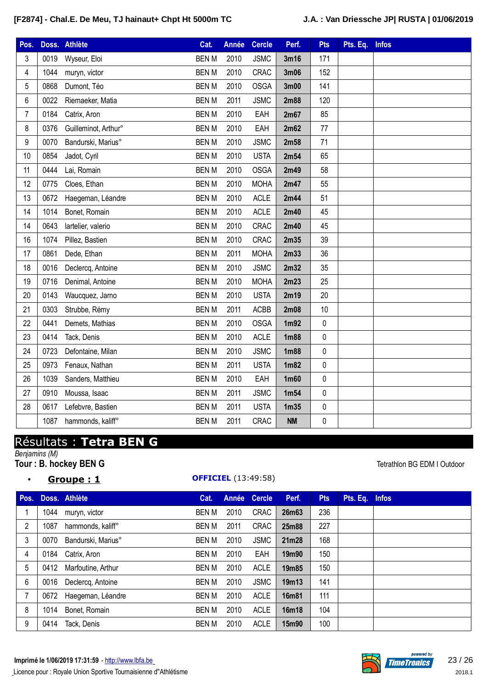| Pos.                    |      | Doss. Athlète        | Cat.         | Année | <b>Cercle</b> | Perf.             | <b>Pts</b> | Pts. Eq. | <b>Infos</b> |
|-------------------------|------|----------------------|--------------|-------|---------------|-------------------|------------|----------|--------------|
| 3                       | 0019 | Wyseur, Eloi         | <b>BENM</b>  | 2010  | <b>JSMC</b>   | 3m16              | 171        |          |              |
| $\overline{\mathbf{4}}$ | 1044 | muryn, victor        | <b>BEN M</b> | 2010  | <b>CRAC</b>   | 3m06              | 152        |          |              |
| 5                       | 0868 | Dumont, Téo          | <b>BENM</b>  | 2010  | <b>OSGA</b>   | 3m00              | 141        |          |              |
| 6                       | 0022 | Riemaeker, Matia     | <b>BENM</b>  | 2011  | <b>JSMC</b>   | 2m88              | 120        |          |              |
| $\overline{7}$          | 0184 | Catrix, Aron         | <b>BENM</b>  | 2010  | EAH           | 2m67              | 85         |          |              |
| 8                       | 0376 | Guilleminot, Arthur° | <b>BENM</b>  | 2010  | EAH           | 2m62              | 77         |          |              |
| 9                       | 0070 | Bandurski, Marius°   | <b>BENM</b>  | 2010  | <b>JSMC</b>   | 2m58              | 71         |          |              |
| 10                      | 0854 | Jadot, Cyril         | <b>BENM</b>  | 2010  | <b>USTA</b>   | 2m54              | 65         |          |              |
| 11                      | 0444 | Lai, Romain          | <b>BENM</b>  | 2010  | <b>OSGA</b>   | 2m49              | 58         |          |              |
| 12                      | 0775 | Cloes, Ethan         | <b>BENM</b>  | 2010  | <b>MOHA</b>   | 2m47              | 55         |          |              |
| 13                      | 0672 | Haegeman, Léandre    | <b>BENM</b>  | 2010  | <b>ACLE</b>   | 2m44              | 51         |          |              |
| 14                      | 1014 | Bonet, Romain        | <b>BENM</b>  | 2010  | <b>ACLE</b>   | 2m40              | 45         |          |              |
| 14                      | 0643 | lartelier, valerio   | <b>BENM</b>  | 2010  | CRAC          | 2m40              | 45         |          |              |
| 16                      | 1074 | Pillez, Bastien      | <b>BENM</b>  | 2010  | CRAC          | 2m35              | 39         |          |              |
| 17                      | 0861 | Dede, Ethan          | <b>BEN M</b> | 2011  | <b>MOHA</b>   | 2m33              | 36         |          |              |
| 18                      | 0016 | Declercq, Antoine    | <b>BEN M</b> | 2010  | <b>JSMC</b>   | 2m32              | 35         |          |              |
| 19                      | 0716 | Denimal, Antoine     | <b>BENM</b>  | 2010  | <b>MOHA</b>   | 2m23              | 25         |          |              |
| 20                      | 0143 | Waucquez, Jarno      | <b>BEN M</b> | 2010  | <b>USTA</b>   | 2m19              | 20         |          |              |
| 21                      | 0303 | Strubbe, Rémy        | <b>BEN M</b> | 2011  | <b>ACBB</b>   | 2m08              | 10         |          |              |
| 22                      | 0441 | Demets, Mathias      | <b>BENM</b>  | 2010  | <b>OSGA</b>   | 1 <sub>m</sub> 92 | $\pmb{0}$  |          |              |
| 23                      | 0414 | Tack, Denis          | <b>BENM</b>  | 2010  | <b>ACLE</b>   | 1m88              | $\pmb{0}$  |          |              |
| 24                      | 0723 | Defontaine, Milan    | <b>BEN M</b> | 2010  | <b>JSMC</b>   | 1m88              | 0          |          |              |
| 25                      | 0973 | Fenaux, Nathan       | <b>BENM</b>  | 2011  | <b>USTA</b>   | 1m82              | 0          |          |              |
| 26                      | 1039 | Sanders, Matthieu    | <b>BENM</b>  | 2010  | EAH           | 1m60              | $\pmb{0}$  |          |              |
| 27                      | 0910 | Moussa, Isaac        | <b>BEN M</b> | 2011  | <b>JSMC</b>   | 1m54              | 0          |          |              |
| 28                      | 0617 | Lefebvre, Bastien    | <b>BEN M</b> | 2011  | <b>USTA</b>   | 1 <sub>m35</sub>  | $\pmb{0}$  |          |              |
|                         | 1087 | hammonds, kaliff°    | <b>BENM</b>  | 2011  | CRAC          | <b>NM</b>         | 0          |          |              |

# Résultats : **Tetra BEN G**

*Benjamins (M)*

### • **Groupe : 1 OFFICIEL** (13:49:58)

**Tour : B. hockey BEN G** Tetrathlon BG EDM I Outdoor

| Pos.           |      | Doss. Athlète          | Cat.         |      | Année Cercle | Perf.              | <b>Pts</b> | Pts. Eq. Infos |  |
|----------------|------|------------------------|--------------|------|--------------|--------------------|------------|----------------|--|
|                | 1044 | muryn, victor          | <b>BEN M</b> | 2010 | <b>CRAC</b>  | 26m63              | 236        |                |  |
| $\overline{2}$ | 1087 | hammonds, kaliff°      | <b>BEN M</b> | 2011 | CRAC         | 25m88              | 227        |                |  |
| 3              | 0070 | Bandurski, Marius°     | <b>BEN M</b> | 2010 | <b>JSMC</b>  | 21m28              | 168        |                |  |
| 4              | 0184 | Catrix, Aron           | <b>BEN M</b> | 2010 | EAH          | 19m90              | 150        |                |  |
| 5              | 0412 | Marfoutine, Arthur     | <b>BEN M</b> | 2010 | <b>ACLE</b>  | 19 <sub>m</sub> 85 | 150        |                |  |
| 6              | 0016 | Declercq, Antoine      | BEN M        | 2010 | <b>JSMC</b>  | 19m13              | 141        |                |  |
| $\overline{7}$ |      | 0672 Haegeman, Léandre | <b>BEN M</b> | 2010 | <b>ACLE</b>  | 16m81              | 111        |                |  |
| 8              | 1014 | Bonet, Romain          | <b>BEN M</b> | 2010 | <b>ACLE</b>  | 16m18              | 104        |                |  |
| 9              | 0414 | Tack, Denis            | <b>BEN M</b> | 2010 | <b>ACLE</b>  | 15m90              | 100        |                |  |

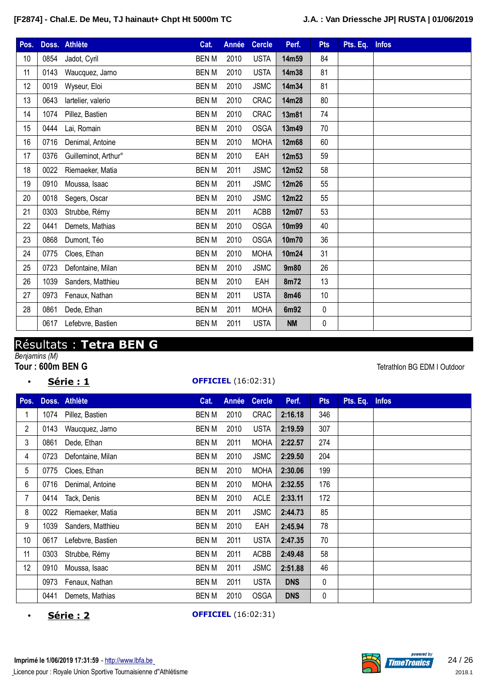| Pos. |      | Doss. Athlète        | Cat.         | Année | <b>Cercle</b> | Perf.     | <b>Pts</b>  | Pts. Eq. Infos |  |
|------|------|----------------------|--------------|-------|---------------|-----------|-------------|----------------|--|
| 10   | 0854 | Jadot, Cyril         | <b>BENM</b>  | 2010  | <b>USTA</b>   | 14m59     | 84          |                |  |
| 11   | 0143 | Waucquez, Jarno      | <b>BEN M</b> | 2010  | <b>USTA</b>   | 14m38     | 81          |                |  |
| 12   | 0019 | Wyseur, Eloi         | <b>BENM</b>  | 2010  | <b>JSMC</b>   | 14m34     | 81          |                |  |
| 13   | 0643 | lartelier, valerio   | <b>BENM</b>  | 2010  | CRAC          | 14m28     | 80          |                |  |
| 14   | 1074 | Pillez, Bastien      | <b>BEN M</b> | 2010  | CRAC          | 13m81     | 74          |                |  |
| 15   | 0444 | Lai, Romain          | <b>BENM</b>  | 2010  | <b>OSGA</b>   | 13m49     | 70          |                |  |
| 16   | 0716 | Denimal, Antoine     | <b>BENM</b>  | 2010  | <b>MOHA</b>   | 12m68     | 60          |                |  |
| 17   | 0376 | Guilleminot, Arthur° | <b>BENM</b>  | 2010  | EAH           | 12m53     | 59          |                |  |
| 18   | 0022 | Riemaeker, Matia     | <b>BEN M</b> | 2011  | <b>JSMC</b>   | 12m52     | 58          |                |  |
| 19   | 0910 | Moussa, Isaac        | <b>BENM</b>  | 2011  | <b>JSMC</b>   | 12m26     | 55          |                |  |
| 20   | 0018 | Segers, Oscar        | <b>BENM</b>  | 2010  | <b>JSMC</b>   | 12m22     | 55          |                |  |
| 21   | 0303 | Strubbe, Rémy        | <b>BEN M</b> | 2011  | ACBB          | 12m07     | 53          |                |  |
| 22   | 0441 | Demets, Mathias      | <b>BENM</b>  | 2010  | <b>OSGA</b>   | 10m99     | 40          |                |  |
| 23   | 0868 | Dumont, Téo          | <b>BENM</b>  | 2010  | <b>OSGA</b>   | 10m70     | 36          |                |  |
| 24   | 0775 | Cloes, Ethan         | <b>BENM</b>  | 2010  | <b>MOHA</b>   | 10m24     | 31          |                |  |
| 25   | 0723 | Defontaine, Milan    | <b>BEN M</b> | 2010  | <b>JSMC</b>   | 9m80      | 26          |                |  |
| 26   | 1039 | Sanders, Matthieu    | <b>BENM</b>  | 2010  | EAH           | 8m72      | 13          |                |  |
| 27   | 0973 | Fenaux, Nathan       | <b>BENM</b>  | 2011  | <b>USTA</b>   | 8m46      | 10          |                |  |
| 28   | 0861 | Dede, Ethan          | <b>BENM</b>  | 2011  | <b>MOHA</b>   | 6m92      | $\mathbf 0$ |                |  |
|      | 0617 | Lefebvre, Bastien    | <b>BENM</b>  | 2011  | <b>USTA</b>   | <b>NM</b> | 0           |                |  |

# Résultats : **Tetra BEN G**

*Benjamins (M)*

- - **Série : 1 OFFICIEL** (16:02:31)

**Tetrathlon BG EDM I Outdoor** 

| Pos.           |      | Doss. Athlète     | Cat.         | Année | <b>Cercle</b> | Perf.      | <b>Pts</b> | Pts. Eq. | <b>Infos</b> |
|----------------|------|-------------------|--------------|-------|---------------|------------|------------|----------|--------------|
|                | 1074 | Pillez, Bastien   | <b>BEN M</b> | 2010  | <b>CRAC</b>   | 2:16.18    | 346        |          |              |
| $\overline{2}$ | 0143 | Waucquez, Jarno   | <b>BENM</b>  | 2010  | <b>USTA</b>   | 2:19.59    | 307        |          |              |
| 3              | 0861 | Dede, Ethan       | <b>BENM</b>  | 2011  | <b>MOHA</b>   | 2:22.57    | 274        |          |              |
| 4              | 0723 | Defontaine, Milan | <b>BEN M</b> | 2010  | <b>JSMC</b>   | 2:29.50    | 204        |          |              |
| 5              | 0775 | Cloes, Ethan      | <b>BENM</b>  | 2010  | <b>MOHA</b>   | 2:30.06    | 199        |          |              |
| 6              | 0716 | Denimal, Antoine  | <b>BENM</b>  | 2010  | <b>MOHA</b>   | 2:32.55    | 176        |          |              |
| 7              | 0414 | Tack, Denis       | <b>BENM</b>  | 2010  | <b>ACLE</b>   | 2:33.11    | 172        |          |              |
| 8              | 0022 | Riemaeker, Matia  | <b>BEN M</b> | 2011  | <b>JSMC</b>   | 2:44.73    | 85         |          |              |
| 9              | 1039 | Sanders, Matthieu | <b>BEN M</b> | 2010  | EAH           | 2:45.94    | 78         |          |              |
| 10             | 0617 | Lefebvre, Bastien | <b>BENM</b>  | 2011  | <b>USTA</b>   | 2:47.35    | 70         |          |              |
| 11             | 0303 | Strubbe, Rémy     | <b>BEN M</b> | 2011  | <b>ACBB</b>   | 2:49.48    | 58         |          |              |
| 12             | 0910 | Moussa, Isaac     | <b>BENM</b>  | 2011  | <b>JSMC</b>   | 2:51.88    | 46         |          |              |
|                | 0973 | Fenaux, Nathan    | <b>BENM</b>  | 2011  | <b>USTA</b>   | <b>DNS</b> | 0          |          |              |
|                | 0441 | Demets, Mathias   | <b>BENM</b>  | 2010  | <b>OSGA</b>   | <b>DNS</b> | 0          |          |              |

• **Série : 2 OFFICIEL** (16:02:31)

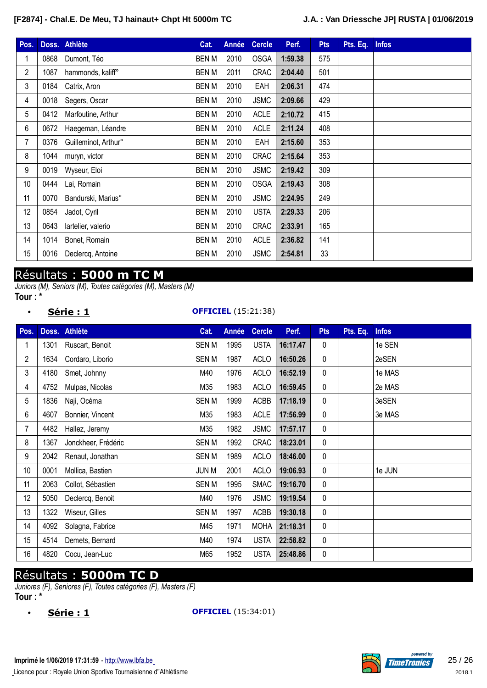| Pos.            | Doss. | <b>Athlète</b>       | Cat.         | Année | <b>Cercle</b> | Perf.   | <b>Pts</b> | Pts. Eq. | <b>Infos</b> |
|-----------------|-------|----------------------|--------------|-------|---------------|---------|------------|----------|--------------|
|                 | 0868  | Dumont, Téo          | <b>BEN M</b> | 2010  | <b>OSGA</b>   | 1:59.38 | 575        |          |              |
| $\overline{2}$  | 1087  | hammonds, kaliff°    | <b>BEN M</b> | 2011  | <b>CRAC</b>   | 2:04.40 | 501        |          |              |
| 3               | 0184  | Catrix, Aron         | <b>BEN M</b> | 2010  | EAH           | 2:06.31 | 474        |          |              |
| 4               | 0018  | Segers, Oscar        | <b>BEN M</b> | 2010  | <b>JSMC</b>   | 2:09.66 | 429        |          |              |
| 5               | 0412  | Marfoutine, Arthur   | <b>BEN M</b> | 2010  | <b>ACLE</b>   | 2:10.72 | 415        |          |              |
| 6               | 0672  | Haegeman, Léandre    | <b>BEN M</b> | 2010  | <b>ACLE</b>   | 2:11.24 | 408        |          |              |
| $\overline{7}$  | 0376  | Guilleminot, Arthur° | <b>BEN M</b> | 2010  | EAH           | 2:15.60 | 353        |          |              |
| 8               | 1044  | muryn, victor        | <b>BEN M</b> | 2010  | <b>CRAC</b>   | 2:15.64 | 353        |          |              |
| 9               | 0019  | Wyseur, Eloi         | BEN M        | 2010  | <b>JSMC</b>   | 2:19.42 | 309        |          |              |
| 10 <sup>°</sup> | 0444  | Lai, Romain          | <b>BEN M</b> | 2010  | <b>OSGA</b>   | 2:19.43 | 308        |          |              |
| 11              | 0070  | Bandurski, Marius°   | <b>BEN M</b> | 2010  | <b>JSMC</b>   | 2:24.95 | 249        |          |              |
| 12              | 0854  | Jadot, Cyril         | <b>BEN M</b> | 2010  | <b>USTA</b>   | 2:29.33 | 206        |          |              |
| 13              | 0643  | lartelier, valerio   | <b>BEN M</b> | 2010  | CRAC          | 2:33.91 | 165        |          |              |
| 14              | 1014  | Bonet, Romain        | <b>BENM</b>  | 2010  | <b>ACLE</b>   | 2:36.82 | 141        |          |              |
| 15              | 0016  | Declercq, Antoine    | <b>BEN M</b> | 2010  | <b>JSMC</b>   | 2:54.81 | 33         |          |              |

## Résultats : **5000 m TC M**

*Juniors (M), Seniors (M), Toutes catégories (M), Masters (M)*

```
Tour : *
```
#### • **Série : 1 OFFICIEL** (15:21:38)

| Pos. | Doss. | <b>Athlète</b>      | Cat.         | Année | <b>Cercle</b> | Perf.    | <b>Pts</b>   | Pts. Eq. | <b>Infos</b> |
|------|-------|---------------------|--------------|-------|---------------|----------|--------------|----------|--------------|
|      | 1301  | Ruscart, Benoit     | <b>SENM</b>  | 1995  | <b>USTA</b>   | 16:17.47 | $\mathbf{0}$ |          | 1e SEN       |
| 2    | 1634  | Cordaro, Liborio    | <b>SENM</b>  | 1987  | <b>ACLO</b>   | 16:50.26 | 0            |          | 2eSEN        |
| 3    | 4180  | Smet, Johnny        | M40          | 1976  | <b>ACLO</b>   | 16:52.19 | 0            |          | 1e MAS       |
| 4    | 4752  | Mulpas, Nicolas     | M35          | 1983  | <b>ACLO</b>   | 16:59.45 | 0            |          | 2e MAS       |
| 5    | 1836  | Naji, Océma         | <b>SENM</b>  | 1999  | <b>ACBB</b>   | 17:18.19 | 0            |          | 3eSEN        |
| 6    | 4607  | Bonnier, Vincent    | M35          | 1983  | <b>ACLE</b>   | 17:56.99 | $\mathbf{0}$ |          | 3e MAS       |
| 7    | 4482  | Hallez, Jeremy      | M35          | 1982  | <b>JSMC</b>   | 17:57.17 | 0            |          |              |
| 8    | 1367  | Jonckheer, Frédéric | <b>SENM</b>  | 1992  | <b>CRAC</b>   | 18:23.01 | 0            |          |              |
| 9    | 2042  | Renaut, Jonathan    | <b>SENM</b>  | 1989  | <b>ACLO</b>   | 18:46.00 | 0            |          |              |
| 10   | 0001  | Mollica, Bastien    | <b>JUN M</b> | 2001  | <b>ACLO</b>   | 19:06.93 | 0            |          | 1e JUN       |
| 11   | 2063  | Collot, Sébastien   | <b>SENM</b>  | 1995  | <b>SMAC</b>   | 19:16.70 | $\mathbf{0}$ |          |              |
| 12   | 5050  | Declercq, Benoit    | M40          | 1976  | <b>JSMC</b>   | 19:19.54 | 0            |          |              |
| 13   | 1322  | Wiseur, Gilles      | <b>SENM</b>  | 1997  | <b>ACBB</b>   | 19:30.18 | 0            |          |              |
| 14   | 4092  | Solagna, Fabrice    | M45          | 1971  | <b>MOHA</b>   | 21:18.31 | 0            |          |              |
| 15   | 4514  | Demets, Bernard     | M40          | 1974  | <b>USTA</b>   | 22:58.82 | 0            |          |              |
| 16   | 4820  | Cocu, Jean-Luc      | M65          | 1952  | <b>USTA</b>   | 25:48.86 | 0            |          |              |

## Résultats : **5000m TC D**

*Juniores (F), Seniores (F), Toutes catégories (F), Masters (F)* **Tour : \***

• **Série : 1 OFFICIEL** (15:34:01)